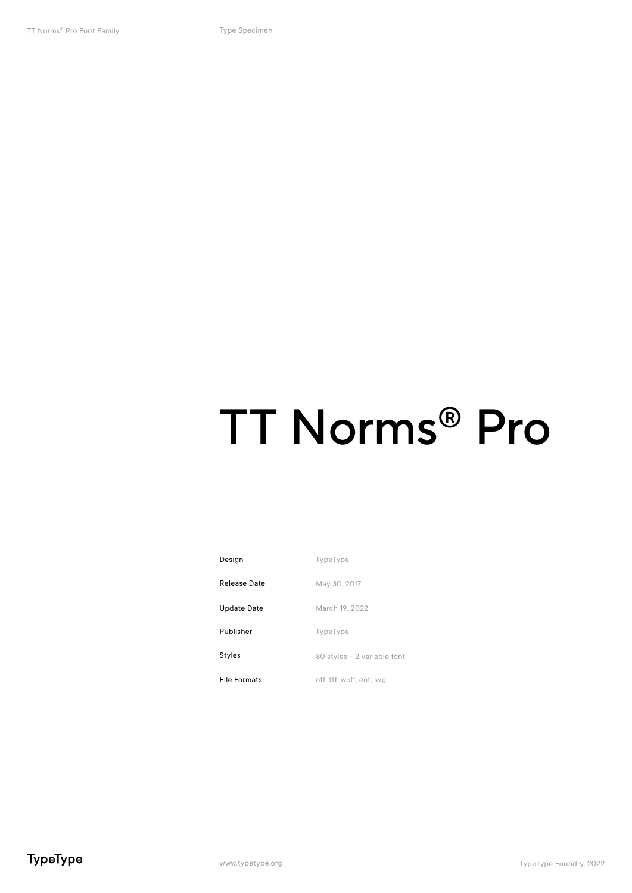### TT Norms® Pro

| Design              | TypeType                    |
|---------------------|-----------------------------|
| Release Date        | May 30, 2017                |
| Update Date         | March 19, 2022              |
| Publisher           | TypeType                    |
| Styles              | 80 styles + 2 variable font |
| <b>File Formats</b> | otf, ttf, woff, eot, svg    |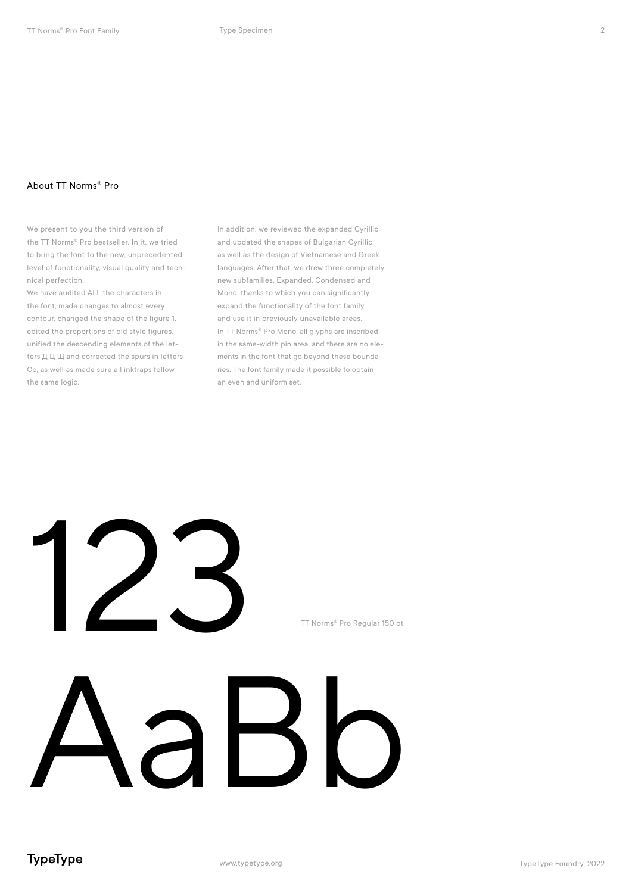#### About TT Norms® Pro

We present to you the third version of the TT Norms® Pro bestseller. In it, we tried to bring the font to the new, unprecedented level of functionality, visual quality and technical perfection.

We have audited ALL the characters in the font, made changes to almost every contour, changed the shape of the figure 1, edited the proportions of old style figures, unified the descending elements of the letters Д Ц Щ and corrected the spurs in letters Cc, as well as made sure all inktraps follow the same logic.

In addition, we reviewed the expanded Cyrillic and updated the shapes of Bulgarian Cyrillic, as well as the design of Vietnamese and Greek languages. After that, we drew three completely new subfamilies, Expanded, Condensed and Mono, thanks to which you can significantly expand the functionality of the font family and use it in previously unavailable areas. In TT Norms® Pro Mono, all glyphs are inscribed in the same-width pin area, and there are no elements in the font that go beyond these boundaries. The font family made it possible to obtain an even and uniform set.

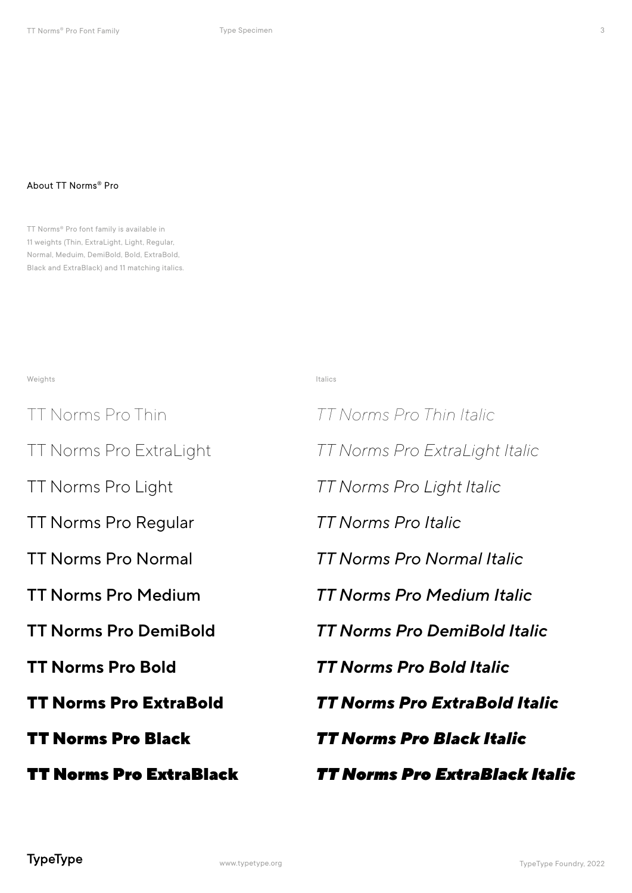#### About TT Norms® Pro

TT Norms® Pro font family is available in 11 weights (Thin, ExtraLight, Light, Regular, Normal, Meduim, DemiBold, Bold, ExtraBold, Black and ExtraBlack) and 11 matching italics.

weights and the control of the control of the control of the control of the control of the control of the control of the control of the control of the control of the control of the control of the control of the control of

TT Norms Pro Thin *TT Norms Pro Thin Italic* TT Norms Pro Normal *TT Norms Pro Normal Italic* TT Norms Pro Light *TT Norms Pro Light Italic* TT Norms Pro Bold *TT Norms Pro Bold Italic* TT Norms Pro ExtraLight *TT Norms Pro ExtraLight Italic* TT Norms Pro Medium TT Norms Pro DemiBold TT Norms Pro Regular *TT Norms Pro Italic* TT Norms Pro ExtraBold *TT Norms Pro ExtraBold Italic* TT Norms Pro Black TT Norms Pro ExtraBlack

*TT Norms Pro Medium Italic TT Norms Pro DemiBold Italic TT Norms Pro Black Italic TT Norms Pro ExtraBlack Italic* 3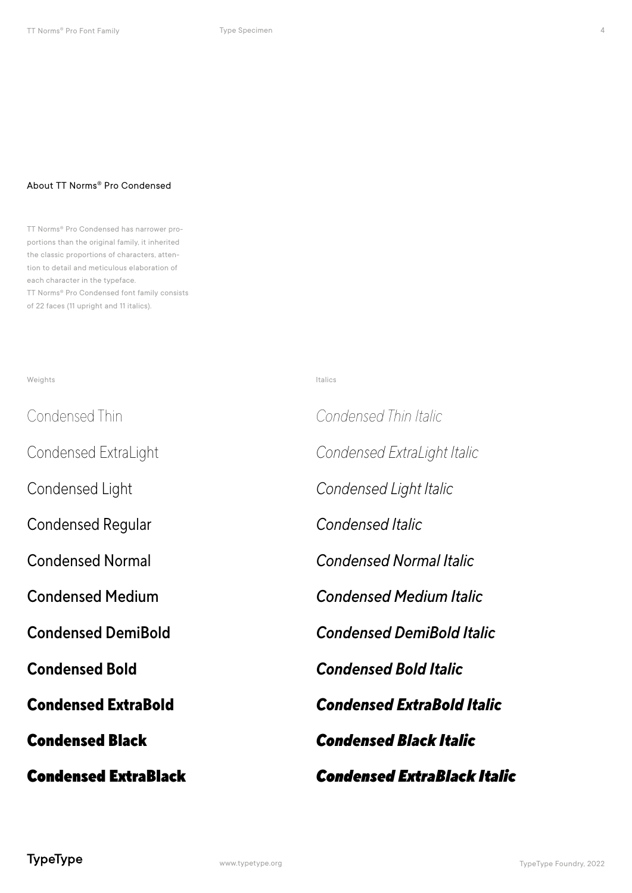#### About TT Norms® Pro Condensed

TT Norms® Pro Condensed has narrower proportions than the original family, it inherited the classic proportions of characters, attention to detail and meticulous elaboration of each character in the typeface. TT Norms® Pro Condensed font family consists of 22 faces (11 upright and 11 italics).

| <b>Condensed ExtraBlack</b> | <b>Condensed ExtraBlack Italic</b> |
|-----------------------------|------------------------------------|
| <b>Condensed Black</b>      | <b>Condensed Black Italic</b>      |
| <b>Condensed ExtraBold</b>  | <b>Condensed ExtraBold Italic</b>  |
| <b>Condensed Bold</b>       | <b>Condensed Bold Italic</b>       |
| <b>Condensed DemiBold</b>   | <b>Condensed DemiBold Italic</b>   |
| <b>Condensed Medium</b>     | <b>Condensed Medium Italic</b>     |
| <b>Condensed Normal</b>     | <b>Condensed Normal Italic</b>     |
| <b>Condensed Regular</b>    | Condensed Italic                   |
| Condensed Light             | Condensed Light Italic             |
| Condensed ExtraLight        | Condensed ExtraLight Italic        |
| Condensed Thin              | Condensed Thin Italic              |
| Weights                     | Italics                            |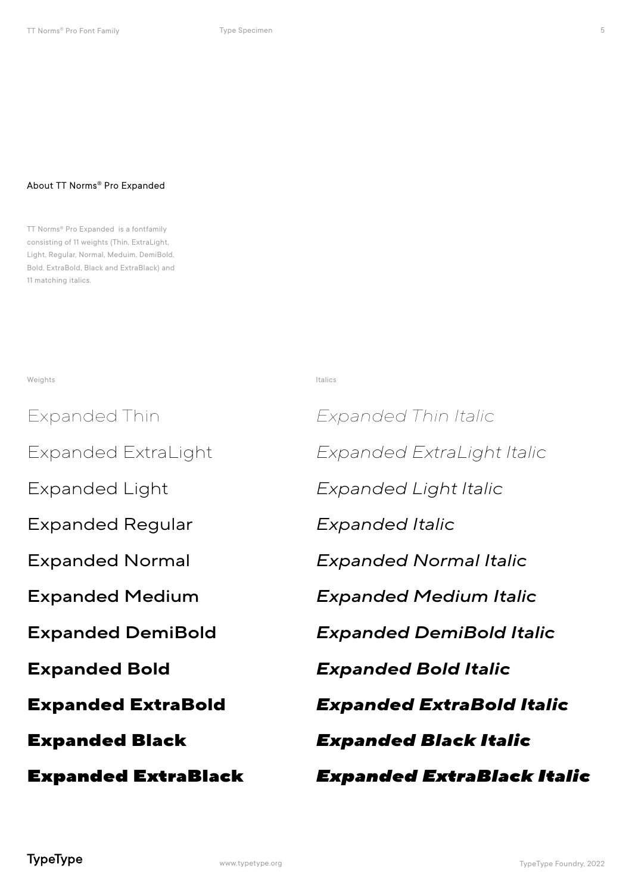#### About TT Norms® Pro Expanded

TT Norms® Pro Expanded is a fontfamily consisting of 11 weights (Thin, ExtraLight, Light, Regular, Normal, Meduim, DemiBold, Bold, ExtraBold, Black and ExtraBlack) and 11 matching italics.

weights and the control of the control of the control of the control of the control of the control of the control of the control of the control of the control of the control of the control of the control of the control of

| <b>Expanded ExtraBlack</b> | Expanded ExtraBlack Italic       |  |
|----------------------------|----------------------------------|--|
| <b>Expanded Black</b>      | <b>Expanded Black Italic</b>     |  |
| <b>Expanded ExtraBold</b>  | <b>Expanded ExtraBold Italic</b> |  |
| <b>Expanded Bold</b>       | <b>Expanded Bold Italic</b>      |  |
| <b>Expanded DemiBold</b>   | <b>Expanded DemiBold Italic</b>  |  |
| <b>Expanded Medium</b>     | <b>Expanded Medium Italic</b>    |  |
| <b>Expanded Normal</b>     | Expanded Normal Italic           |  |
| <b>Expanded Regular</b>    | Expanded Italic                  |  |
| Expanded Light             | Expanded Light Italic            |  |
| Expanded ExtraLight        | Expanded ExtraLight Italic       |  |
| Expanded Thin              | Expanded Thin Italic             |  |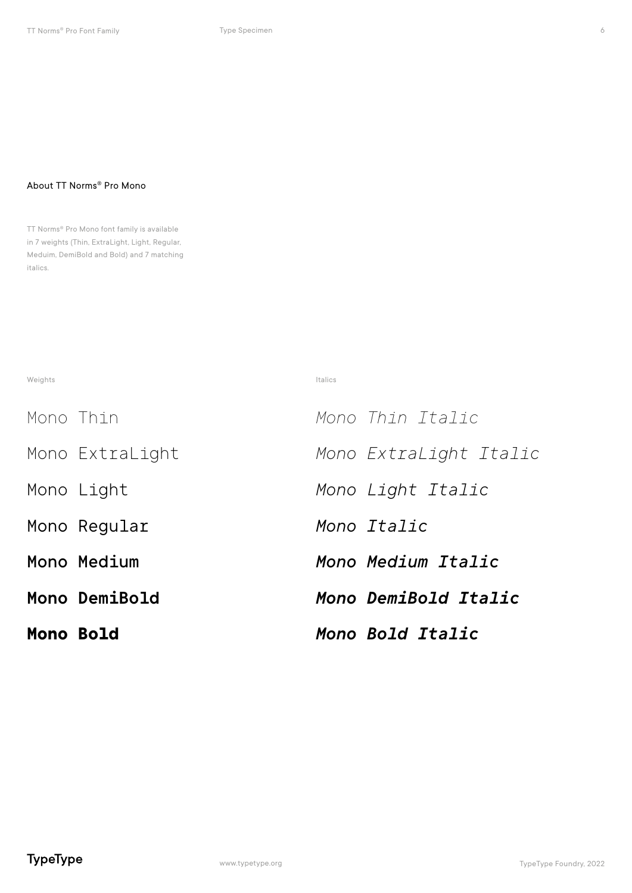#### About TT Norms® Pro Mono

TT Norms® Pro Mono font family is available in 7 weights (Thin, ExtraLight, Light, Regular, Meduim, DemiBold and Bold) and 7 matching italics.

weights and the control of the control of the control of the control of the control of the control of the control of the control of the control of the control of the control of the control of the control of the control of

| <b>Mono Bold</b> |                 | Mono Bold Italic       |
|------------------|-----------------|------------------------|
|                  | Mono DemiBold   | Mono DemiBold Italic   |
|                  | Mono Medium     | Mono Medium Italic     |
|                  | Mono Regular    | Mono Italic            |
|                  | Mono Light      | Mono Light Italic      |
|                  | Mono ExtraLight | Mono Extralight Italic |
| Mono Thin        |                 | Mono Thin Ttalic       |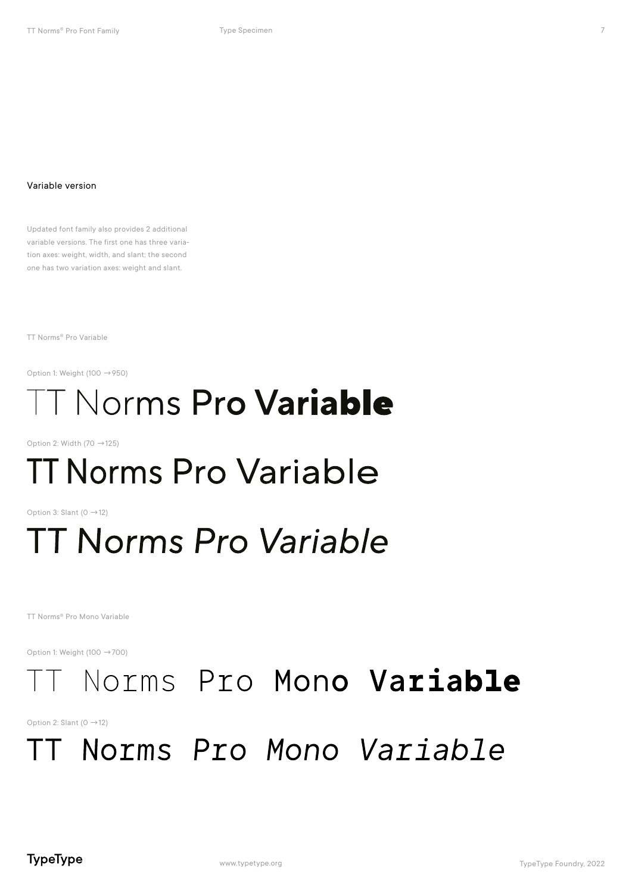Updated font family also provides 2 additional variable versions. The first one has three variation axes: weight, width, and slant; the second one has two variation axes: weight and slant.

TT Norms® Pro Variable

Option 1: Weight (100  $\rightarrow$  950)

### **T Norms Pro Variable**

Option 2: Width (70  $\rightarrow$  125)

### **TT Norms Pro Variable**

Option 3: Slant (0  $\rightarrow$  12)

### **TT Norms Pro Variable**

TT Norms® Pro Mono Variable

Option 1: Weight (100 →700)

### Norms Pro Mono Variable

Option 2: Slant (0  $\rightarrow$  12)

### TT Norms Pro Mono Variable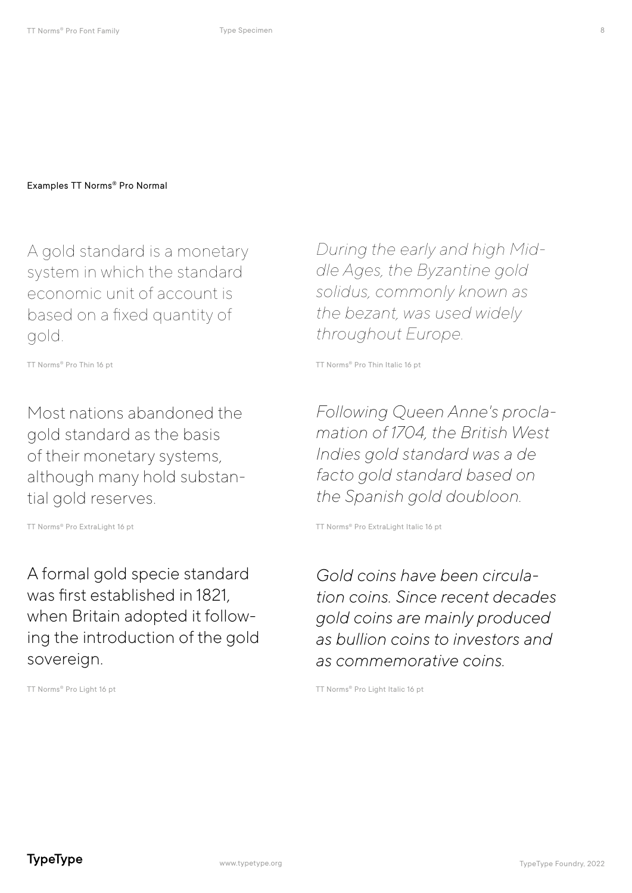A gold standard is a monetary system in which the standard economic unit of account is based on a fixed quantity of gold.

Most nations abandoned the gold standard as the basis of their monetary systems, although many hold substantial gold reserves.

A formal gold specie standard was first established in 1821, when Britain adopted it following the introduction of the gold sovereign.

*During the early and high Middle Ages, the Byzantine gold solidus, commonly known as the bezant, was used widely throughout Europe.* 

TT Norms® Pro Thin 16 pt The Thin Italic 16 pt Thoms® Pro Thin Italic 16 pt

*Following Queen Anne's proclamation of 1704, the British West Indies gold standard was a de facto gold standard based on the Spanish gold doubloon.*

TT Norms® Pro ExtraLight 16 pt TT Norms® Pro ExtraLight Italic 16 pt

*Gold coins have been circulation coins. Since recent decades gold coins are mainly produced as bullion coins to investors and as commemorative coins.*

TT Norms® Pro Light 16 pt TT Norms® Pro Light Italic 16 pt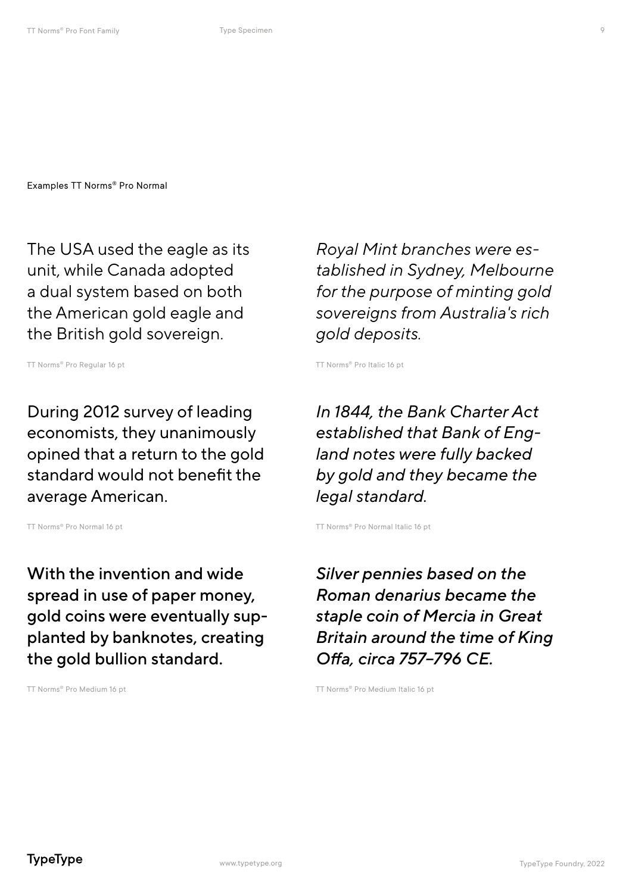The USA used the eagle as its unit, while Canada adopted a dual system based on both the American gold eagle and the British gold sovereign.

TT Norms® Pro Regular 16 pt TT Norms® Pro Italic 16 pt

During 2012 survey of leading economists, they unanimously opined that a return to the gold standard would not benefit the average American.

With the invention and wide spread in use of paper money, gold coins were eventually supplanted by banknotes, creating the gold bullion standard.

*Royal Mint branches were established in Sydney, Melbourne for the purpose of minting gold sovereigns from Australia's rich gold deposits.*

*In 1844, the Bank Charter Act established that Bank of England notes were fully backed by gold and they became the legal standard.*

TT Norms<sup>®</sup> Pro Normal 16 pt TT Norms® Pro Normal Italic 16 pt

*Silver pennies based on the Roman denarius became the staple coin of Mercia in Great Britain around the time of King Offa, circa 757–796 CE.*

TT Norms® Pro Medium 16 pt TT Norms® Pro Medium Italic 16 pt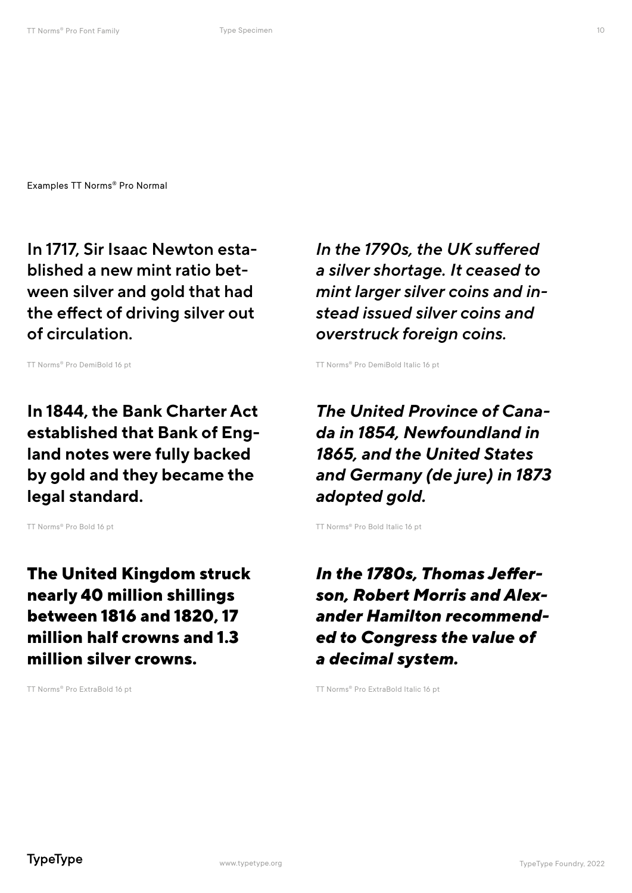In 1717, Sir Isaac Newton established a new mint ratio between silver and gold that had the effect of driving silver out of circulation.

In 1844, the Bank Charter Act established that Bank of England notes were fully backed by gold and they became the legal standard.

The United Kingdom struck nearly 40 million shillings between 1816 and 1820, 17 million half crowns and 1.3 million silver crowns.

*In the 1790s, the UK suffered a silver shortage. It ceased to mint larger silver coins and instead issued silver coins and overstruck foreign coins.*

TT Norms<sup>®</sup> Pro DemiBold 16 pt TT Norms<sup>®</sup> Pro DemiBold Italic 16 pt

*The United Province of Canada in 1854, Newfoundland in 1865, and the United States and Germany (de jure) in 1873 adopted gold.* 

TT Norms® Pro Bold 16 pt TT Norms® Pro Bold Italic 16 pt

*In the 1780s, Thomas Jefferson, Robert Morris and Alexander Hamilton recommended to Congress the value of a decimal system.* 

TT Norms® Pro ExtraBold 16 pt TT Norms® Pro ExtraBold Italic 16 pt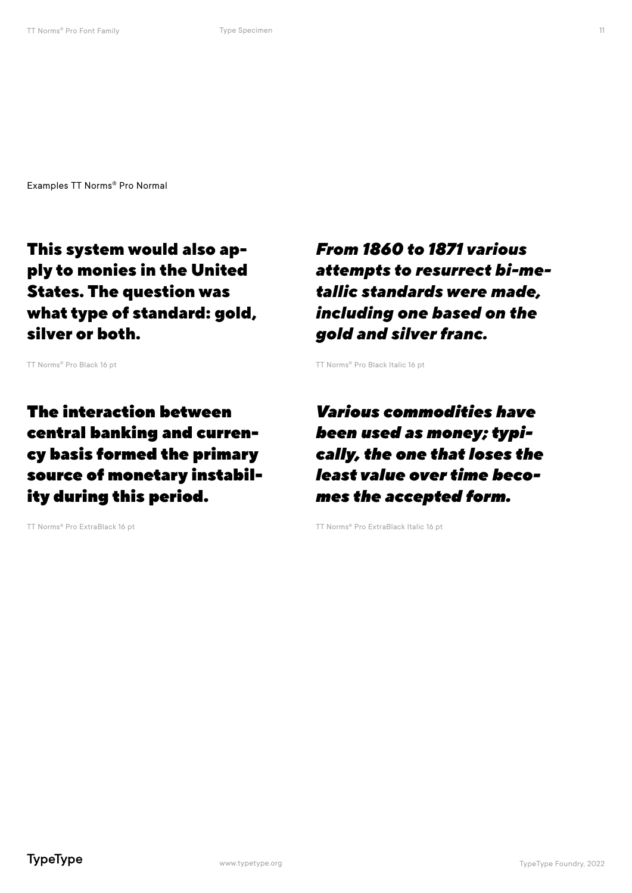This system would also apply to monies in the United States. The question was what type of standard: gold, silver or both.

The interaction between central banking and currency basis formed the primary source of monetary instability during this period.

*From 1860 to 1871 various attempts to resurrect bi-metallic standards were made, including one based on the gold and silver franc.*

TT Norms® Pro Black 16 pt TT Norms® Pro Black Italic 16 pt

*Various commodities have been used as money; typically, the one that loses the least value over time becomes the accepted form.*

TT Norms® Pro ExtraBlack 16 pt TT Norms® Pro ExtraBlack Italic 16 pt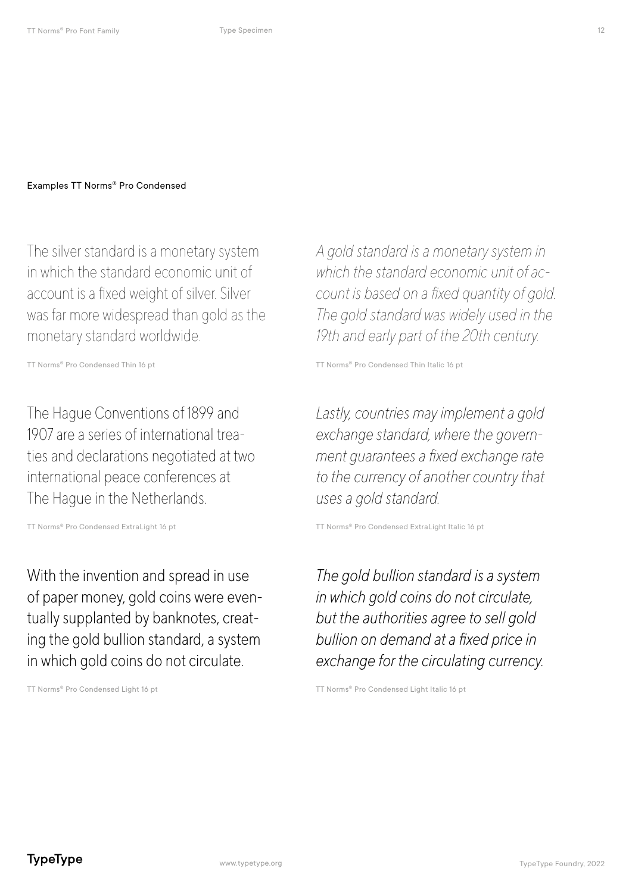The silver standard is a monetary system in which the standard economic unit of account is a fixed weight of silver. Silver was far more widespread than gold as the monetary standard worldwide.

The Hague Conventions of 1899 and 1907 are a series of international treaties and declarations negotiated at two international peace conferences at The Hague in the Netherlands.

With the invention and spread in use of paper money, gold coins were eventually supplanted by banknotes, creating the gold bullion standard, a system in which gold coins do not circulate.

*A gold standard is a monetary system in which the standard economic unit of account is based on a fixed quantity of gold. The gold standard was widely used in the 19th and early part of the 20th century.*

TT Norms® Pro Condensed Thin 16 pt TT Norms® Pro Condensed Thin Italic 16 pt

*Lastly, countries may implement a gold exchange standard, where the government guarantees a fixed exchange rate to the currency of another country that uses a gold standard.*

TT Norms® Pro Condensed ExtraLight 16 pt TT Norms® Pro Condensed ExtraLight Italic 16 pt

*The gold bullion standard is a system in which gold coins do not circulate, but the authorities agree to sell gold bullion on demand at a fixed price in exchange for the circulating currency.*

TT Norms® Pro Condensed Light 16 pt TT Norms® Pro Condensed Light Italic 16 pt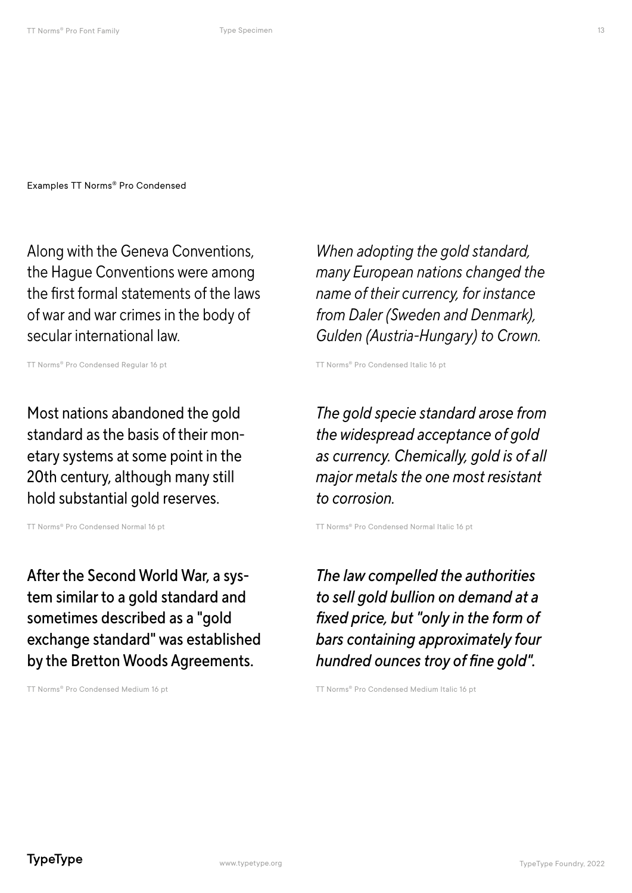Along with the Geneva Conventions, the Hague Conventions were among the first formal statements of the laws of war and war crimes in the body of secular international law.

TT Norms® Pro Condensed Regular 16 pt TT Norms® Pro Condensed Italic 16 pt

Most nations abandoned the gold standard as the basis of their monetary systems at some point in the 20th century, although many still hold substantial gold reserves.

After the Second World War, a system similar to a gold standard and sometimes described as a "gold exchange standard" was established by the Bretton Woods Agreements.

*When adopting the gold standard, many European nations changed the name of their currency, for instance from Daler (Sweden and Denmark), Gulden (Austria-Hungary) to Crown.*

*The gold specie standard arose from the widespread acceptance of gold as currency. Chemically, gold is of all major metals the one most resistant to corrosion.*

TT Norms® Pro Condensed Normal 16 pt TT Norms® Pro Condensed Normal Italic 16 pt

*The law compelled the authorities to sell gold bullion on demand at a fixed price, but "only in the form of bars containing approximately four hundred ounces troy of fine gold".*

TT Norms® Pro Condensed Medium 16 pt TT Norms® Pro Condensed Medium Italic 16 pt

**TypeType**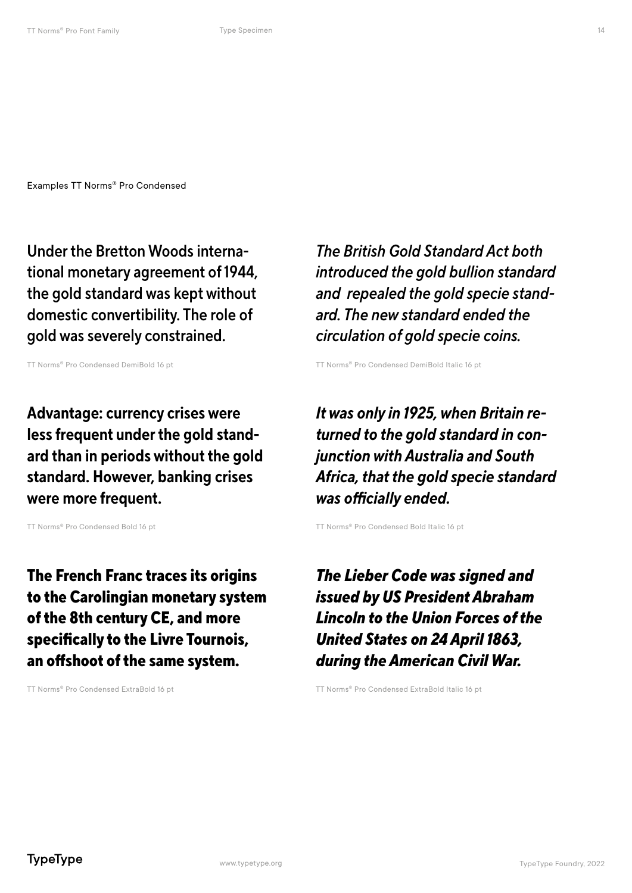Under the Bretton Woods international monetary agreement of 1944, the gold standard was kept without domestic convertibility. The role of gold was severely constrained.

Advantage: currency crises were less frequent under the gold standard than in periods without the gold standard. However, banking crises were more frequent.

The French Franc traces its origins to the Carolingian monetary system of the 8th century CE, and more specifically to the Livre Tournois, an offshoot of the same system.

*The British Gold Standard Act both introduced the gold bullion standard and repealed the gold specie standard. The new standard ended the circulation of gold specie coins.*

TT Norms® Pro Condensed DemiBold 16 pt TT Norms® Pro Condensed DemiBold Italic 16 pt

*It was only in 1925, when Britain returned to the gold standard in conjunction with Australia and South Africa, that the gold specie standard was officially ended.*

TT Norms® Pro Condensed Bold 16 pt TT Norms® Pro Condensed Bold Italic 16 pt

*The Lieber Code was signed and issued by US President Abraham Lincoln to the Union Forces of the United States on 24 April 1863, during the American Civil War.*

TT Norms® Pro Condensed ExtraBold 16 pt TT Norms® Pro Condensed ExtraBold Italic 16 pt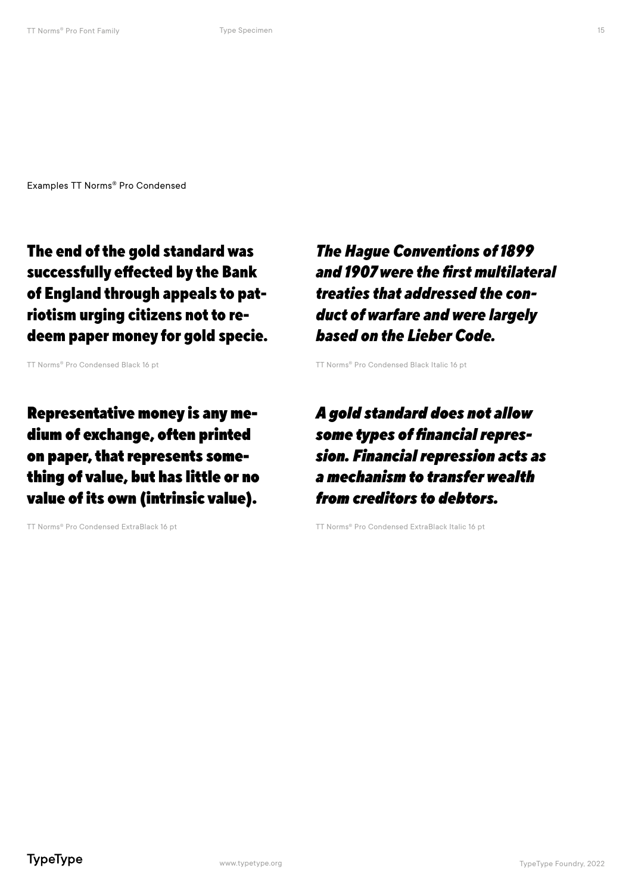The end of the gold standard was successfully effected by the Bank of England through appeals to patriotism urging citizens not to redeem paper money for gold specie.

Representative money is any medium of exchange, often printed on paper, that represents something of value, but has little or no value of its own (intrinsic value).

*The Hague Conventions of 1899 and 1907 were the first multilateral treaties that addressed the conduct of warfare and were largely based on the Lieber Code.*

TT Norms® Pro Condensed Black 16 pt TT Norms® Pro Condensed Black Italic 16 pt

*A gold standard does not allow some types of financial repression. Financial repression acts as a mechanism to transfer wealth from creditors to debtors.*

TT Norms® Pro Condensed ExtraBlack 16 pt TT Norms® Pro Condensed ExtraBlack Italic 16 pt

15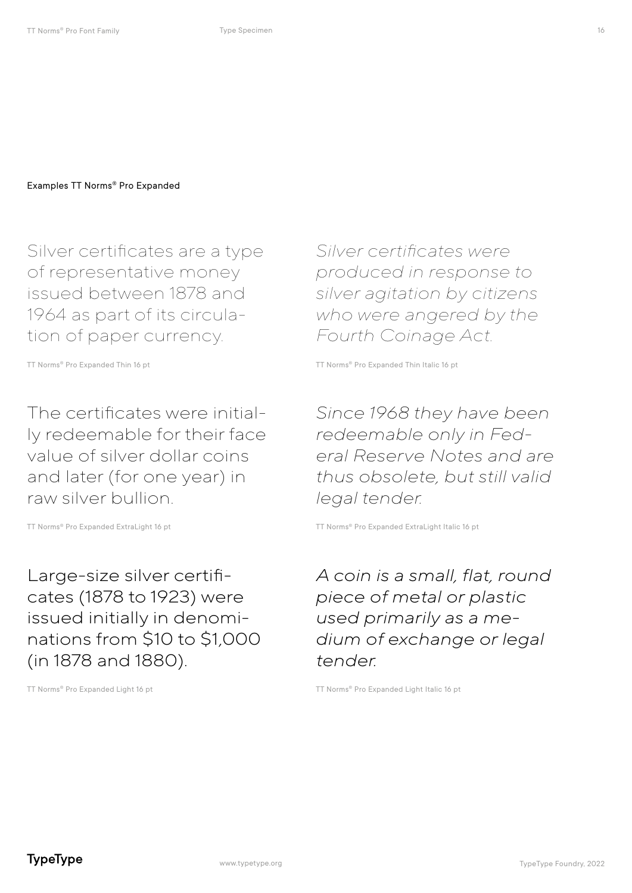Silver certificates are a type of representative money issued between 1878 and 1964 as part of its circulation of paper currency.

The certificates were initially redeemable for their face value of silver dollar coins and later (for one year) in raw silver bullion.

Large-size silver certificates (1878 to 1923) were issued initially in denominations from \$10 to \$1,000 (in 1878 and 1880).

*Silver certificates were produced in response to silver agitation by citizens who were angered by the Fourth Coinage Act.*

TT Norms® Pro Expanded Thin 16 pt TT Norms® Pro Expanded Thin Italic 16 pt

*Since 1968 they have been redeemable only in Federal Reserve Notes and are thus obsolete, but still valid legal tender.*

TT Norms® Pro Expanded ExtraLight 16 pt TT Norms® Pro Expanded ExtraLight Italic 16 pt

*A coin is a small, flat, round piece of metal or plastic used primarily as a medium of exchange or legal tender.*

TT Norms® Pro Expanded Light 16 pt TT Norms® Pro Expanded Light Italic 16 pt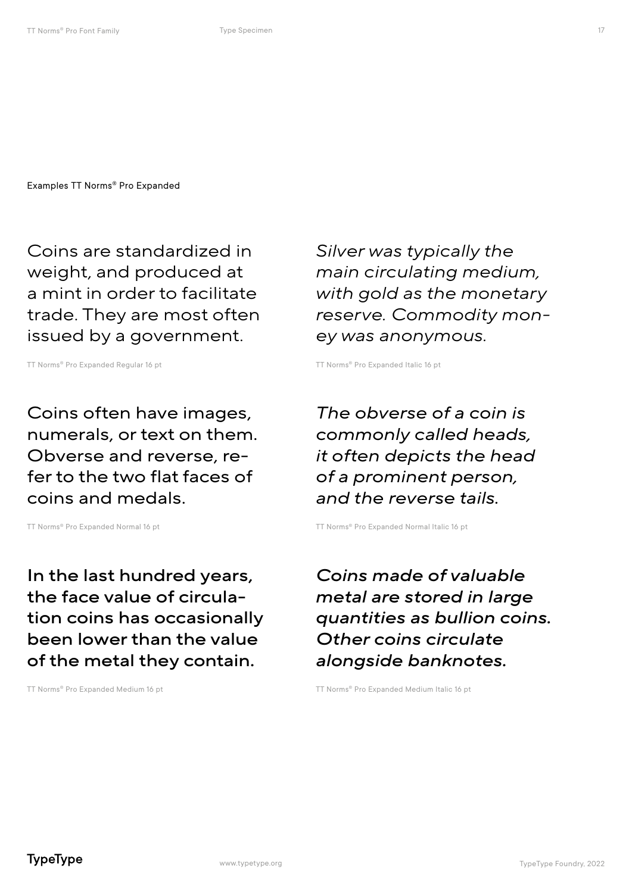Coins are standardized in weight, and produced at a mint in order to facilitate trade. They are most often issued by a government.

TT Norms® Pro Expanded Regular 16 pt TT Norms® Pro Expanded Italic 16 pt

Coins often have images, numerals, or text on them. Obverse and reverse, refer to the two flat faces of coins and medals.

In the last hundred years, the face value of circulation coins has occasionally been lower than the value of the metal they contain.

*Silver was typically the main circulating medium, with gold as the monetary reserve. Commodity money was anonymous.*

*The obverse of a coin is commonly called heads, it often depicts the head of a prominent person, and the reverse tails.*

TT Norms® Pro Expanded Normal 16 pt TT Norms® Pro Expanded Normal Italic 16 pt

*Coins made of valuable metal are stored in large quantities as bullion coins. Other coins circulate alongside banknotes.* 

TT Norms® Pro Expanded Medium 16 pt TT Norms® Pro Expanded Medium Italic 16 pt

**TypeType**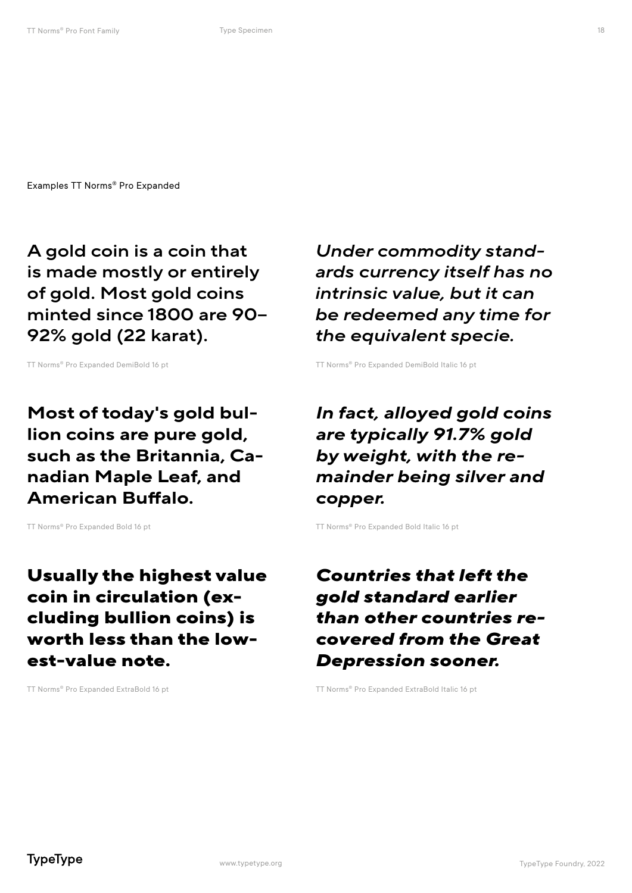A gold coin is a coin that is made mostly or entirely of gold. Most gold coins minted since 1800 are 90– 92% gold (22 karat).

TT Norms® Pro Expanded DemiBold 16 pt TT Norms® Pro Expanded DemiBold Italic 16 pt

Most of today's gold bullion coins are pure gold, such as the Britannia, Canadian Maple Leaf, and American Buffalo.

Usually the highest value coin in circulation (excluding bullion coins) is worth less than the lowest-value note.

*Under commodity standards currency itself has no intrinsic value, but it can be redeemed any time for the equivalent specie.*

*In fact, alloyed gold coins are typically 91.7% gold by weight, with the remainder being silver and copper.*

TT Norms® Pro Expanded Bold 16 pt TT Norms® Pro Expanded Bold Italic 16 pt

#### *Countries that left the gold standard earlier than other countries recovered from the Great Depression sooner.*

TT Norms® Pro Expanded ExtraBold 16 pt TT Norms® Pro Expanded ExtraBold Italic 16 pt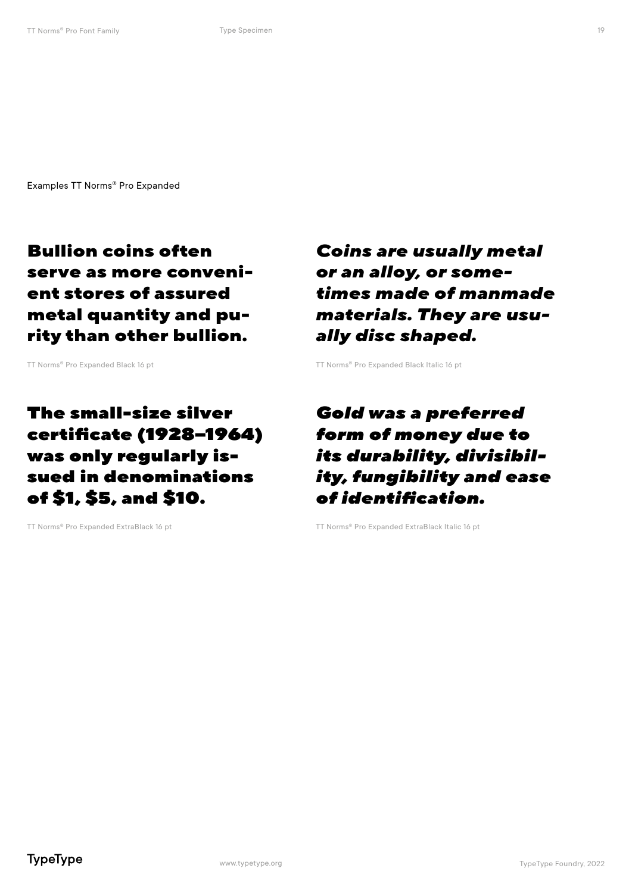Bullion coins often serve as more convenient stores of assured metal quantity and purity than other bullion.

The small-size silver certificate (1928–1964) was only regularly issued in denominations of \$1, \$5, and \$10.

*Coins are usually metal or an alloy, or sometimes made of manmade materials. They are usually disc shaped.*

TT Norms® Pro Expanded Black 16 pt TT Norms® Pro Expanded Black Italic 16 pt

#### *Gold was a preferred form of money due to its durability, divisibility, fungibility and ease of identification.*

TT Norms® Pro Expanded ExtraBlack 16 pt TT Norms® Pro Expanded ExtraBlack Italic 16 pt

19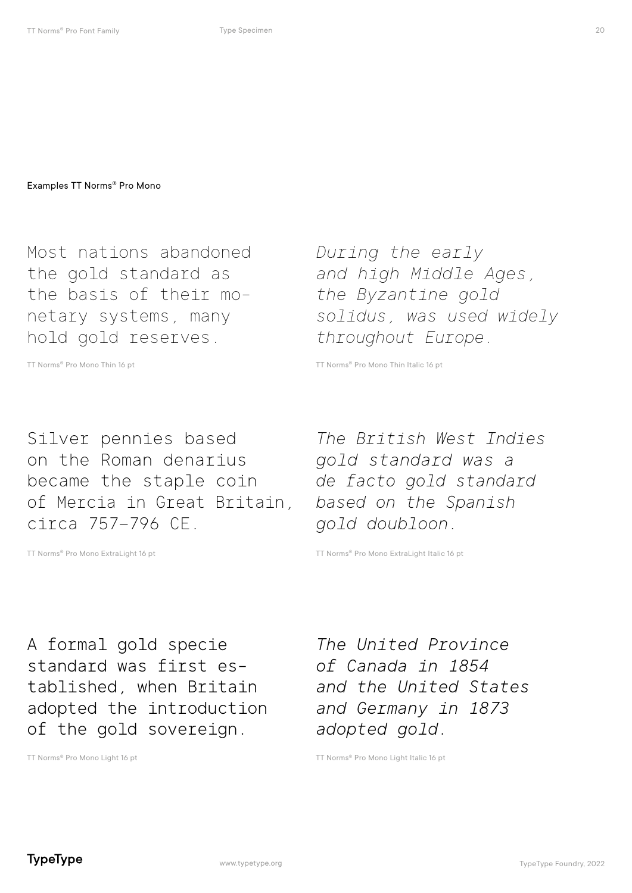Most nations abandoned the gold standard as the basis of their monetary systems, many hold gold reserves.

Silver pennies based on the Roman denarius became the staple coin of Mercia in Great Britain, circa 757–796 CE.

*During the early and high Middle Ages, the Byzantine gold solidus, was used widely throughout Europe.*

TT Norms® Pro Mono Thin 16 pt TT Norms® Pro Mono Thin Italic 16 pt

*The British West Indies gold standard was a de facto gold standard based on the Spanish gold doubloon.*

TT Norms® Pro Mono ExtraLight 16 pt TT Norms® Pro Mono ExtraLight Italic 16 pt

A formal gold specie standard was first established, when Britain adopted the introduction of the gold sovereign.

*The United Province of Canada in 1854 and the United States and Germany in 1873 adopted gold.*

TT Norms® Pro Mono Light 16 pt TT Norms® Pro Mono Light Italic 16 pt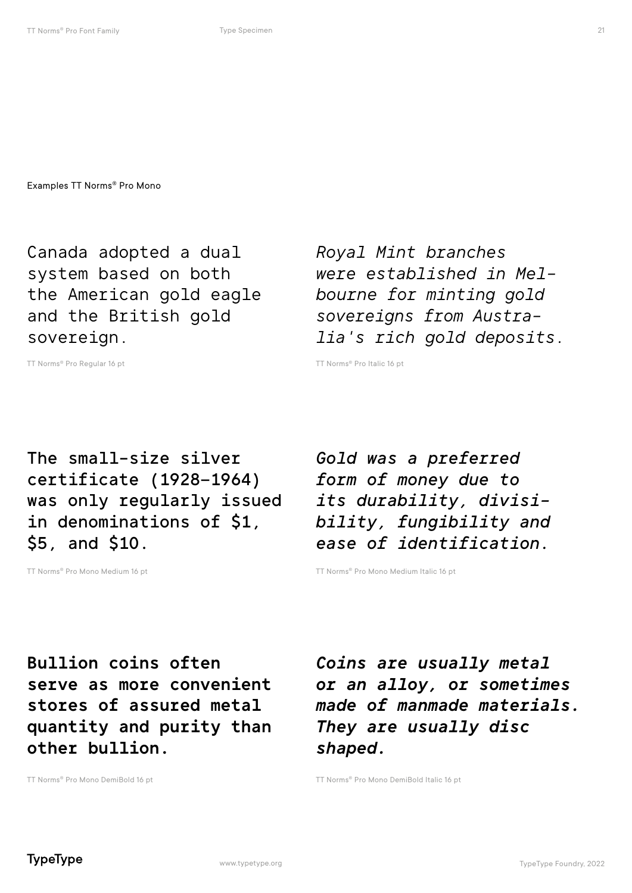Canada adopted a dual system based on both the American gold eagle and the British gold sovereign.

*Royal Mint branches were established in Melbourne for minting gold sovereigns from Australia's rich gold deposits.*

TT Norms<sup>®</sup> Pro Regular 16 pt TT Norms<sup>®</sup> Pro Italic 16 pt

The small-size silver certificate (1928–1964) was only regularly issued in denominations of \$1, \$5, and \$10.

*Gold was a preferred form of money due to its durability, divisibility, fungibility and ease of identification.*

TT Norms® Pro Mono Medium 16 pt TT Norms® Pro Mono Medium Italic 16 pt

Bullion coins often serve as more convenient stores of assured metal quantity and purity than other bullion.

*Coins are usually metal or an alloy, or sometimes made of manmade materials. They are usually disc shaped.*

TT Norms® Pro Mono DemiBold 16 pt TT Norms® Pro Mono DemiBold Italic 16 pt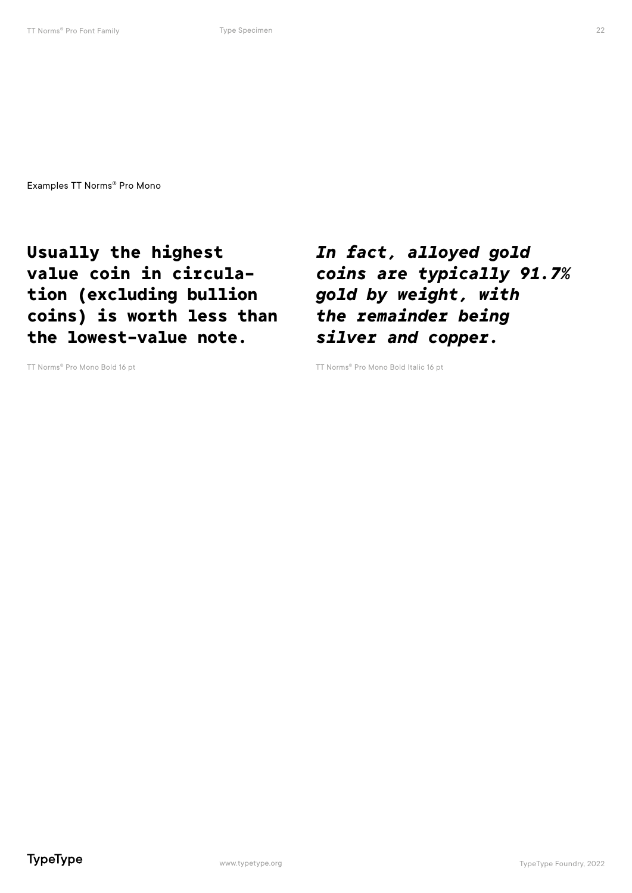Usually the highest value coin in circulation (excluding bullion coins) is worth less than the lowest-value note.

*In fact, alloyed gold coins are typically 91.7% gold by weight, with the remainder being silver and copper.*

TT Norms® Pro Mono Bold 16 pt TT Norms® Pro Mono Bold Italic 16 pt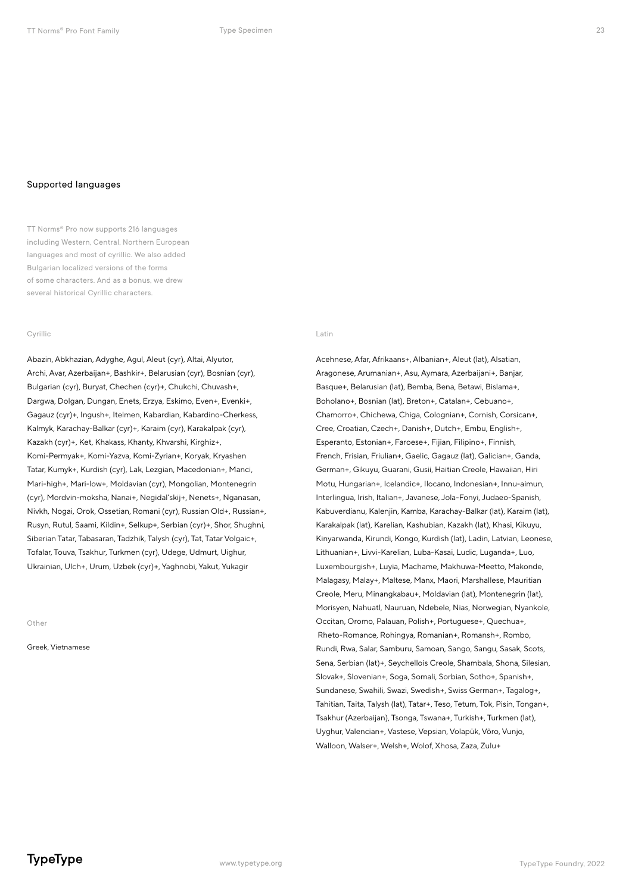#### Supported languages

TT Norms® Pro now supports 216 languages including Western, Central, Northern European languages and most of cyrillic. We also added Bulgarian localized versions of the forms of some characters. And as a bonus, we drew several historical Cyrillic characters.

#### Cyrillic

Abazin, Abkhazian, Adyghe, Agul, Aleut (cyr), Altai, Alyutor, Archi, Avar, Azerbaijan+, Bashkir+, Belarusian (cyr), Bosnian (cyr), Bulgarian (cyr), Buryat, Chechen (cyr)+, Chukchi, Chuvash+, Dargwa, Dolgan, Dungan, Enets, Erzya, Eskimo, Even+, Evenki+, Gagauz (cyr)+, Ingush+, Itelmen, Kabardian, Kabardino-Cherkess, Kalmyk, Karachay-Balkar (cyr)+, Karaim (cyr), Karakalpak (cyr), Kazakh (cyr)+, Ket, Khakass, Khanty, Khvarshi, Kirghiz+, Komi-Permyak+, Komi-Yazva, Komi-Zyrian+, Koryak, Kryashen Tatar, Kumyk+, Kurdish (cyr), Lak, Lezgian, Macedonian+, Manci, Mari-high+, Mari-low+, Moldavian (cyr), Mongolian, Montenegrin (cyr), Mordvin-moksha, Nanai+, Negidal'skij+, Nenets+, Nganasan, Nivkh, Nogai, Orok, Ossetian, Romani (cyr), Russian Old+, Russian+, Rusyn, Rutul, Saami, Kildin+, Selkup+, Serbian (cyr)+, Shor, Shughni, Siberian Tatar, Tabasaran, Tadzhik, Talysh (cyr), Tat, Tatar Volgaic+, Tofalar, Touva, Tsakhur, Turkmen (cyr), Udege, Udmurt, Uighur, Ukrainian, Ulch+, Urum, Uzbek (cyr)+, Yaghnobi, Yakut, Yukagir

Other

Greek, Vietnamese

#### Latin

Acehnese, Afar, Afrikaans+, Albanian+, Aleut (lat), Alsatian, Aragonese, Arumanian+, Asu, Aymara, Azerbaijani+, Banjar, Basque+, Belarusian (lat), Bemba, Bena, Betawi, Bislama+, Boholano+, Bosnian (lat), Breton+, Catalan+, Cebuano+, Chamorro+, Chichewa, Chiga, Colognian+, Cornish, Corsican+, Cree, Croatian, Czech+, Danish+, Dutch+, Embu, English+, Esperanto, Estonian+, Faroese+, Fijian, Filipino+, Finnish, French, Frisian, Friulian+, Gaelic, Gagauz (lat), Galician+, Ganda, German+, Gikuyu, Guarani, Gusii, Haitian Creole, Hawaiian, Hiri Motu, Hungarian+, Icelandic+, Ilocano, Indonesian+, Innu-aimun, Interlingua, Irish, Italian+, Javanese, Jola-Fonyi, Judaeo-Spanish, Kabuverdianu, Kalenjin, Kamba, Karachay-Balkar (lat), Karaim (lat), Karakalpak (lat), Karelian, Kashubian, Kazakh (lat), Khasi, Kikuyu, Kinyarwanda, Kirundi, Kongo, Kurdish (lat), Ladin, Latvian, Leonese, Lithuanian+, Livvi-Karelian, Luba-Kasai, Ludic, Luganda+, Luo, Luxembourgish+, Luyia, Machame, Makhuwa-Meetto, Makonde, Malagasy, Malay+, Maltese, Manx, Maori, Marshallese, Mauritian Creole, Meru, Minangkabau+, Moldavian (lat), Montenegrin (lat), Morisyen, Nahuatl, Nauruan, Ndebele, Nias, Norwegian, Nyankole, Occitan, Oromo, Palauan, Polish+, Portuguese+, Quechua+, Rheto-Romance, Rohingya, Romanian+, Romansh+, Rombo, Rundi, Rwa, Salar, Samburu, Samoan, Sango, Sangu, Sasak, Scots, Sena, Serbian (lat)+, Seychellois Creole, Shambala, Shona, Silesian, Slovak+, Slovenian+, Soga, Somali, Sorbian, Sotho+, Spanish+, Sundanese, Swahili, Swazi, Swedish+, Swiss German+, Tagalog+, Tahitian, Taita, Talysh (lat), Tatar+, Teso, Tetum, Tok, Pisin, Tongan+, Tsakhur (Azerbaijan), Tsonga, Tswana+, Turkish+, Turkmen (lat), Uyghur, Valencian+, Vastese, Vepsian, Volapük, Võro, Vunjo, Walloon, Walser+, Welsh+, Wolof, Xhosa, Zaza, Zulu+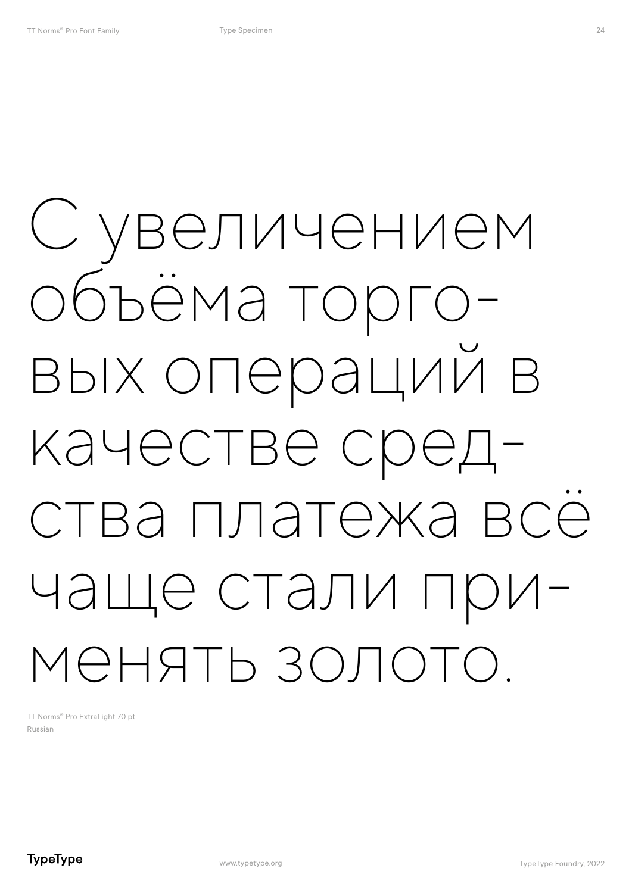# С увеличением объёма торго- вых операций в качестве сред-<br>ства платежа всё чаще стали при-<br>менять золото.

TT Norms® Pro ExtraLight 70 pt Russian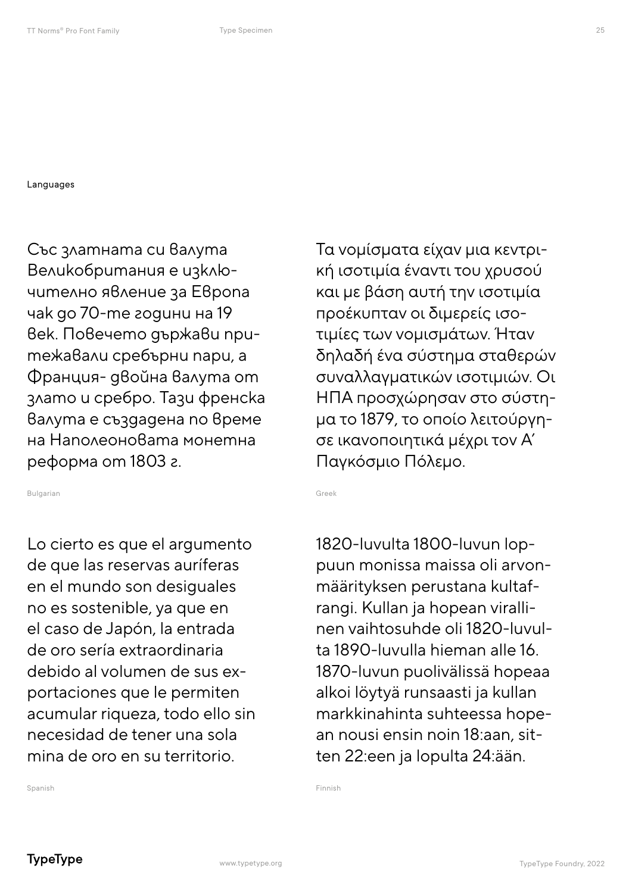Languages

Със златната си валута Великобритания е изключително явление за Европа чак до 70-те години на 19 век. Повечето държави притежавали сребърни пари, а Франция- двойна валута от злато и сребро. Тази френска валута е създадена по време на Наполеоновата монетна реформа от 1803 г.

Bulgarian

Lo cierto es que el argumento de que las reservas auríferas en el mundo son desiguales no es sostenible, ya que en el caso de Japón, la entrada de oro sería extraordinaria debido al volumen de sus exportaciones que le permiten acumular riqueza, todo ello sin necesidad de tener una sola mina de oro en su territorio.

Τα νομίσματα είχαν μια κεντρική ισοτιμία έναντι του χρυσού και με βάση αυτή την ισοτιμία προέκυπταν οι διμερείς ισοτιμίες των νομισμάτων. Ήταν δηλαδή ένα σύστημα σταθερών συναλλαγματικών ισοτιμιών. Oι ΗΠΑ προσχώρησαν στο σύστημα το 1879, το οποίο λειτούργησε ικανοποιητικά μέχρι τον Α' Παγκόσμιο Πόλεμο.

Greek

1820-luvulta 1800-luvun loppuun monissa maissa oli arvonmäärityksen perustana kultafrangi. Kullan ja hopean virallinen vaihtosuhde oli 1820-luvulta 1890-luvulla hieman alle 16. 1870-luvun puolivälissä hopeaa alkoi löytyä runsaasti ja kullan markkinahinta suhteessa hopean nousi ensin noin 18:aan, sitten 22:een ja lopulta 24:ään.

Finnish

Spanish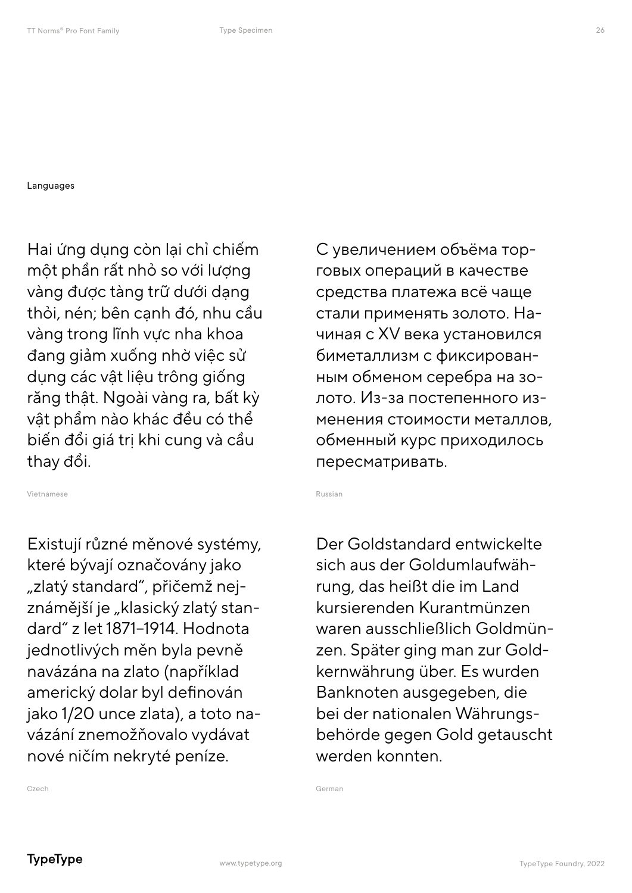#### **Languages**

Hai ứng dụng còn lại chỉ chiếm một phần rất nhỏ so với lượng vàng được tàng trữ dưới dạng thỏi, nén; bên cạnh đó, nhu cầu vàng trong lĩnh vực nha khoa đang giảm xuống nhờ việc sử dụng các vật liệu trông giống răng thật. Ngoài vàng ra, bất kỳ vật phẩm nào khác đều có thể biến đổi giá trị khi cung và cầu thay đổi.

Vietnamese

Existují různé měnové systémy, které bývají označovány jako "zlatý standard", přičemž nejznámější je "klasický zlatý standard" z let 1871–1914. Hodnota jednotlivých měn byla pevně navázána na zlato (například americký dolar byl definován jako 1/20 unce zlata), a toto navázání znemožňovalo vydávat nové ničím nekryté peníze.

С увеличением объёма торговых операций в качестве средства платежа всё чаще стали применять золото. Начиная с XV века установился биметаллизм с фиксированным обменом серебра на золото. Из-за постепенного изменения стоимости металлов, обменный курс приходилось пересматривать.

Russian

Der Goldstandard entwickelte sich aus der Goldumlaufwährung, das heißt die im Land kursierenden Kurantmünzen waren ausschließlich Goldmünzen. Später ging man zur Goldkernwährung über. Es wurden Banknoten ausgegeben, die bei der nationalen Währungsbehörde gegen Gold getauscht werden konnten.

German

Czech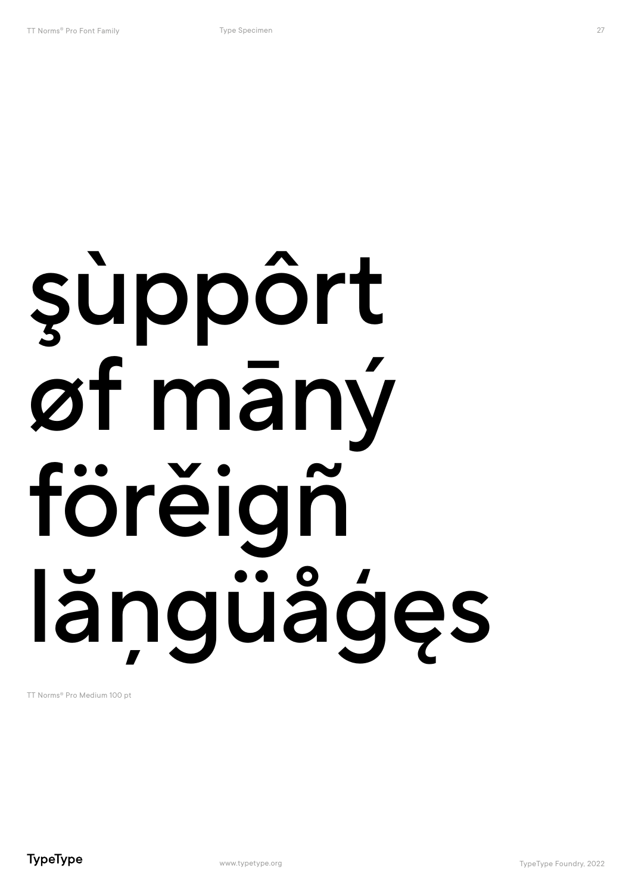# şùppôrt øf māný förĕigñ lăngüågęs

TT Norms® Pro Medium 100 pt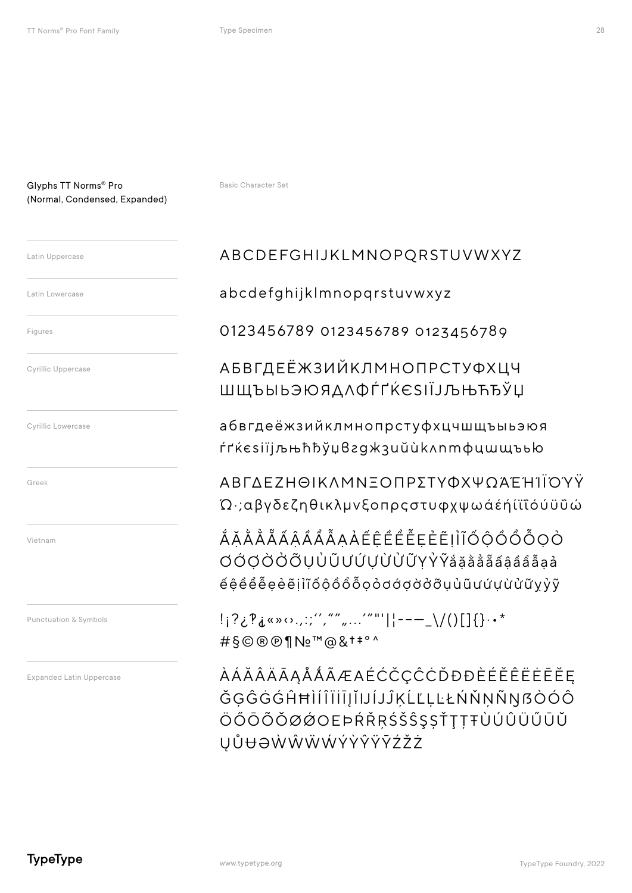Latin Uppercase Latin Lowercase Figures **Cyrillic Uppercase** 

Cyrillic Lowercase

Greek

Vietnam

Punctuation & Symbols

**Expanded Latin Uppercase** 

**Basic Character Set** 

#### ABCDEFGHIJKLMNOPQRSTUVWXYZ

abcdefghijklmnopqrstuvwxyz

0123456789 0123456789 0123456789

**АБВГДЕЁЖЗИЙКЛМНОПРСТУФХЦЧ** ШЩЪЫЬЭЮЯДЛФЃ<sup>Г</sup>ЌЄЅІЇЈЉЊЋЂЎЏ

абвгдеёжзийклмнопрстуфхцчшщъыьэюя ŕґќєѕії іљњћђў у вгажзий и клтфишшъью

ΑΒΓΔΕΖΗΘΙΚΛΜΝΞΟΠΡΣΤΥΦΧΨΟΆΕΉΊΙΟΥΥ Ώγαβγδεζηθικλμνξοπρςστυφχψωάέή(ϊΐόύϋΰώ

ĂĂĂĂĂÃÂÂÂÂĂAAÉÊÊÊÊĒEE EI I ĨŐ QÔ Ô Õ Q O **OÓOÒÖÖUŮŨƯÚƯỪŮŨYŶŶắăåååâââåååa**à éêêể eè eilî ó ô ô ô ô o o d d d d d û u û u ú u ù ù ữ y y y

!i?¿?i«»(...;","",...."""||---\_\/()[]{}..\* #§©®®¶Nº™@& +\*°^

*ÀÁĂÂÄĀĄÅÅÃÆAÉĆČÇĈĊĎĐĐÈÉĚÊËĖĒĔĘ* ĞĢĜĠĠĤĦÌÍĨĨĬĪJĬIJĺJĴĶĹĽĻĿŁŃŇŅŇŊßÒÓÔ ÖŐŌÕŎØØOEÞŔŘŖŚŠŜŞŠŤŢŢŦÙÚÛÜŰŪŬ **UŮ**UOŴŴŴŴÝŶŶŸŶŹŽŻ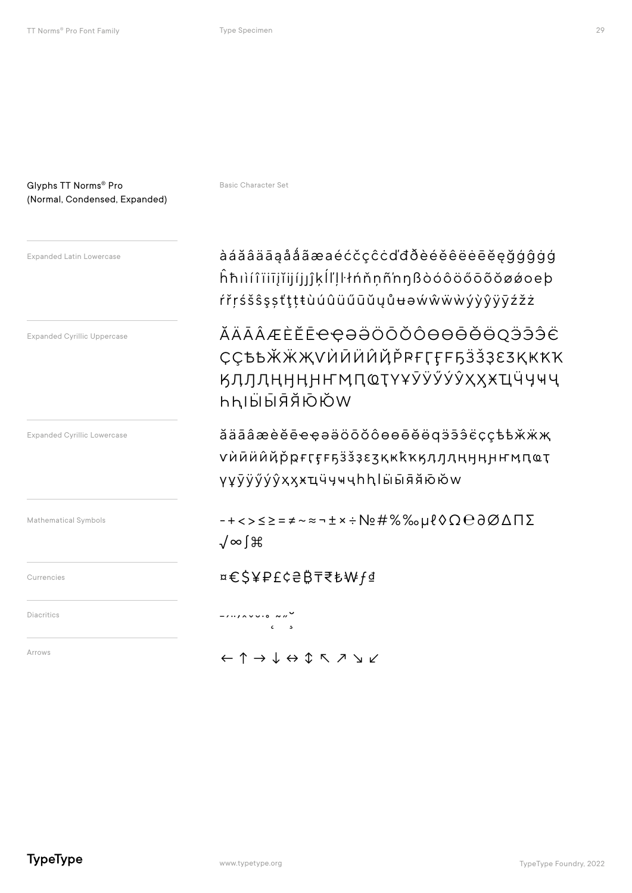#### Glyphs TT Norms® Pro (Normal, Condensed, Expanded)

Expanded Cyrillic Lowercase Expanded Cyrillic Uppercase Mathematical Symbols Currencies Diacritics Arrows

Basic Character Set

Expanded Latin Lowercase **auchašková hafina a hafi až ažá aža ažá aža aé**ćčçĉċďđðèéěëëëeēĕęğģĝġģ ĥħıìí î ïiīįĭijíjȷĵķĺľļŀłńňņñ'nŋßòóôöőōõŏøǿoeþ ŕřŗśšŝşșťţțŧùúûüűūŭųůʉəẃŵẅẁýỳŷÿȳźžż

> ӐӒӐӐӔЀӖЀҼҾӘӚӦӦӦѲѲѲѲ҇ӪӪѺӬӬӬҼ ҪҪѢҌӁӜҖѴЍӢӤҊҊҎ҆ҎҒӶӺҒҔӞѮҘЄӠҚҜҞҠ ӃӅӅӅӉӇӉҤӍҴҨҬҮҰӮӰӲӲӲҲӼӾҴӴӋҸҶ ҺҺӀӸӸЯ҄Я҃Ӧ҃ӦѾ

ӑӓӓӓӕѐӗҽ҄ҿҿәӛӧӧӧѻѳѳӫӫӫдӭӭ҈ҫҫѣѣӂӝҗ ѵѝӣӥҋҋҏӻӷӻӻҕӟѯҙєӡқҝҟҡӄӆӆӆӊӊӊҥӎҵҩҭ ҄үұўўу́уҳҳӿҵӵӌҹҷһһӀӹӹӣя҆ӫѻӂѡ

-+<>≤≥=≠~≈¬±×÷№#%‰μℓ◊Ω℮∂∅ΔΠΣ √∞∫⌘

¤€\$¥₽£¢₴₿₸₹₺₩ƒ₫

ے<br>ذرائع میں ہے کہ *ا* 

←↑→↓↔↕↖↗↘↙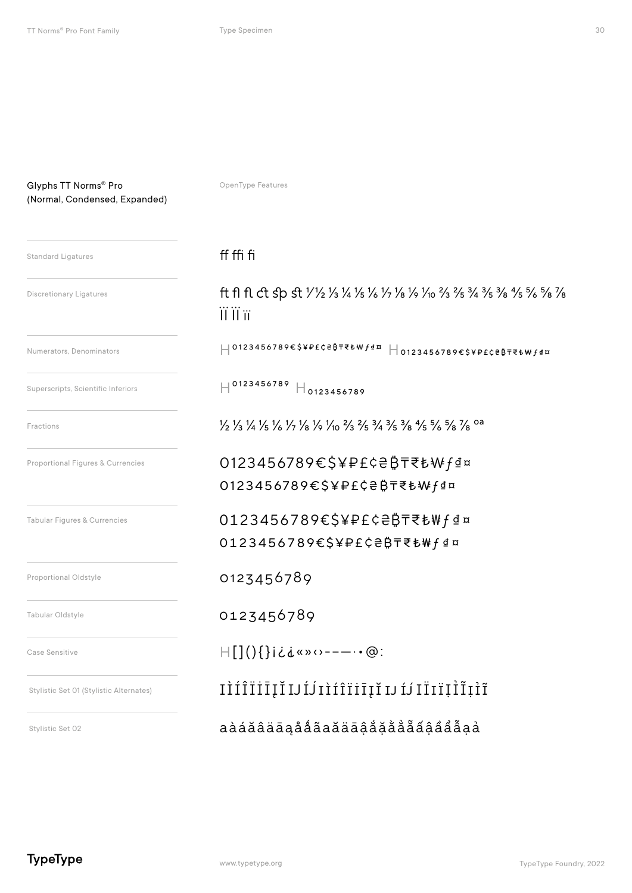#### Glyphs TT Norms® Pro (Normal, Condensed, Expanded)

OpenType Features

#### Tabular Figures & Currencies Proportional Oldstyle Proportional Figures & Currencies Tabular Oldstyle ff ffi fi  $H^{0123456789}$   $H_{0123456789}$ 0123456789€\$¥₽£¢₴₿₸₹₺₩ƒ₫¤ 0123456789€\$¥₽£¢₴₿₸₹₺₩ƒ₫¤ ft fl fl ct sp st 1/1/2 1/3 1/4 1/5 1/6 1/2 1/6 1/0 3/3 3/5 3/4 3/5 3/8 4/5 5/6 5/8 7/8 ЇЇ ЇЇ її 1/2 1/3 1/4 1/5 1/6 1/7 1/8 1/0 1/10 2/3 2/5 3/4 3/5 3/8 4/5 5/6 5/8 7/8 0a 0123456789 H0123456789€\$¥₽£¢₴₿₸₹₺₩ƒ₫¤ H0123456789€\$¥₽£¢₴₿₸₹₺₩ƒ₫¤ 0123456789€\$¥₽£¢₴₿₸₹₺₩ƒ₫¤ 0123456789€\$¥₽£¢₴₿₸₹₺₩ƒ₫¤ 0123456789 Case Sensitive Stylistic Set 01 (Stylistic Alternates) Stylistic Set 02 H[](){}¡¿⸘«»‹›-–—·•@: IÌÍÎÏİĪĮĬIJ�IÌÍÎÏİĪĮĬ IJ � ІЇІ ЇỊỈĨỊỈĨ aàáăâäāąåǻãаӑӓāậắặằẳẵấậầẩẫạả Standard Ligatures Discretionary Ligatures Numerators, Denominators Superscripts, Scientific Inferiors Fractions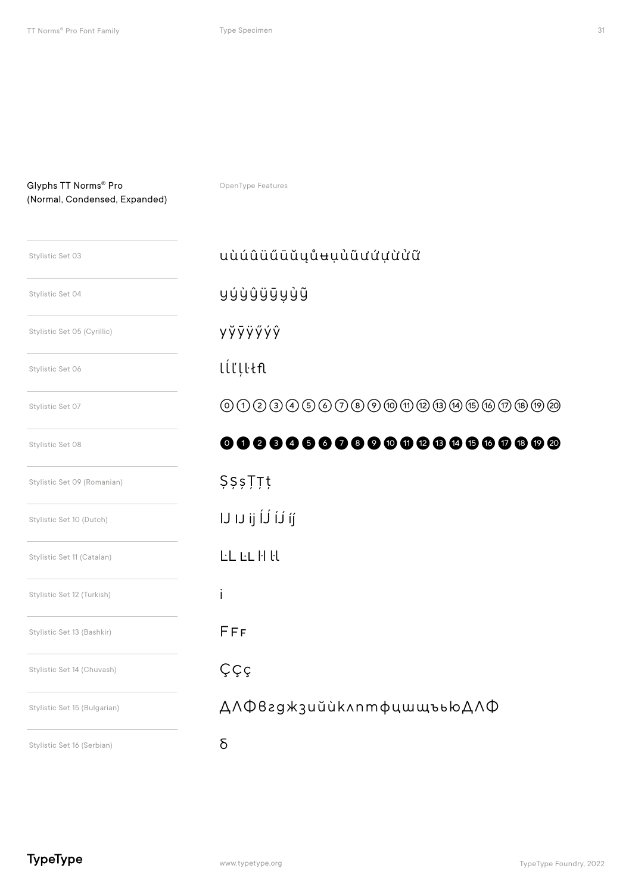| Stylistic Set 03             | uùúûüűūŭųůʉụủũưứựừửữ                                                                                                                                                                                                 |
|------------------------------|----------------------------------------------------------------------------------------------------------------------------------------------------------------------------------------------------------------------|
| Stylistic Set 04             | yýỳŷÿÿyỷỹ                                                                                                                                                                                                            |
| Stylistic Set 05 (Cyrillic)  | yўÿÿÿýŷ                                                                                                                                                                                                              |
| Stylistic Set 06             | lĺľļŀłfl                                                                                                                                                                                                             |
| Stylistic Set 07             | ${\mathcal O} \cup {\mathcal O} \cup {\mathcal O} \cup {\mathcal O} \cup {\mathcal O} \cup {\mathcal O} \cup {\mathcal O} \cup {\mathcal O} \cup {\mathcal O} \cup {\mathcal O} \cup {\mathcal O} \cup {\mathcal O}$ |
| Stylistic Set 08             | 000000000000000000000                                                                                                                                                                                                |
| Stylistic Set 09 (Romanian)  | <b>ŞşşȚȚț</b>                                                                                                                                                                                                        |
| Stylistic Set 10 (Dutch)     | IJ IJ ij ĺJ ÍJ íj                                                                                                                                                                                                    |
| Stylistic Set 11 (Catalan)   | <b>LL</b> LL H H                                                                                                                                                                                                     |
| Stylistic Set 12 (Turkish)   | İ                                                                                                                                                                                                                    |
| Stylistic Set 13 (Bashkir)   | FFF                                                                                                                                                                                                                  |
| Stylistic Set 14 (Chuvash)   | Ççç                                                                                                                                                                                                                  |
| Stylistic Set 15 (Bulgarian) | ДЛФвгджзийѝклптфцшщъъюДЛФ                                                                                                                                                                                            |
| Stylistic Set 16 (Serbian)   | δ                                                                                                                                                                                                                    |

OpenType Features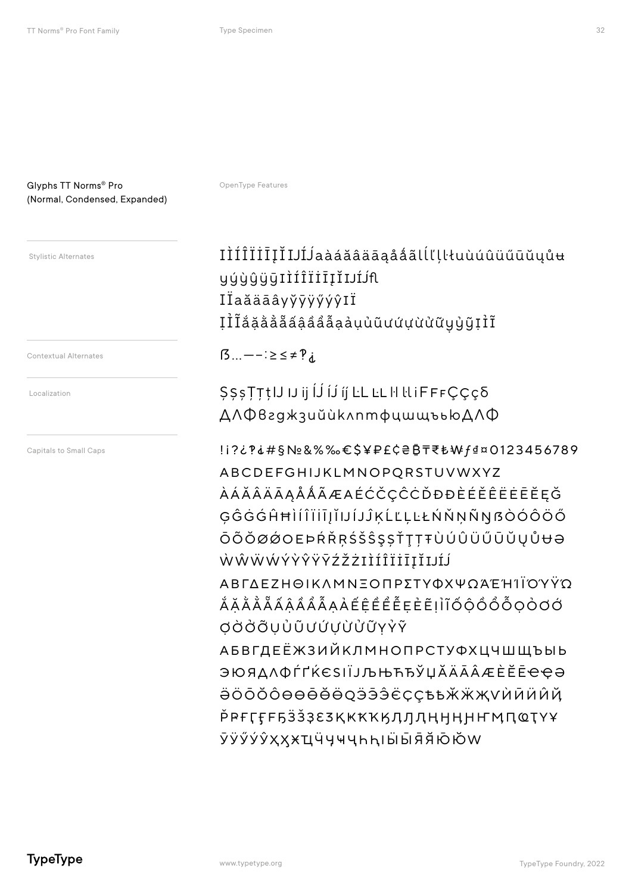OpenType Features

#### **Stylistic Alternates**

**Contextual Alternates** 

Localization

Capitals to Small Caps

#### IÌÍÎÏİĪĮĬIJÍJaàáăâäāąååãlĺľļŀłuùúûüűūŭųůu **yýùûÿūIÌÍÎÏIIIIJÍJ**f IÏaăäāâyyvÿýýŷIÏ **I**II ă ă ă ă ă â â â â a a u u u u u u u u u u g u j î î

 $\beta$ ...  $-\frac{1}{2} \leq \neq \mathcal{P}$ 

SSsTTtlJ IJ ij IJ Ij IJ LL LL H LL IFFFCCCO **ΔΛΦ**β2g\*3uŭùk^nmφuwwъью ДЛФ

!i?¿?i#§Nº&%%€\$¥₽£¢₴₿₸₹₺₩f₫¤0123456789 ABCDEFGHIJKLMNOPQRSTUVWXYZ ÀÁĂÂÄĀĄÅÅÃÆAÉĆČÇĈĊĎĐĐÈÉĚÊËĖĒĒĘĞ ĢĜĠĠĤĦÌÍÎÏĬĪJĬIJĺJĴĶĹĽĻĿŁŃŇŅÑŊßÒÓÔÖŐ ŌÕŎØØOEÞŔŘŖŚŠŜŞȘŤŢŢŦÙÚÛÜŰŪŬŲŮ<del>U</del>Ə ŴŴŴŴÝŶŶŸŸŹŽŻIÌÍÎĨĨĪĪĮĬIJĹĴ ΑΒΓΔΕΖΗΘΙΚΛΜΝΞΟΠΡΣΤΥΦΧΨΩΆΈΉ ΙΙΟΎΥΫ́Ω <u>Ă Ă Ă Ă Ă Â Â Â Â Â A A E Ê Ê Ê Ê Ê Ê Ê E Ê I I J Ő Ô Ô Ô Ô Ô O O O Ó </u> **OÒÒÕUÙŨƯỨƯỪŮŨYÝŶ АБВГДЕЁЖЗИЙКЛМНОПРСТУФХЦЧШЩЪЫЬ** ЭЮЯДЛФЃҐЌЄЅІЇЈЉЊЋЂЎЏӐӒА҄ӒӔЀӖЀҼҾӘ ӚӦӦӦѺѲѲѲ҇ӪӪѺӬӬӬЀҪҪѢҌӁӜҖѴЍӢӤӤҊ Р<sup>е</sup>ғгеғыз засақ кккқ дл ден не не мастуу ӮӰӲӲӲҲҲӾҴӴӋҸҶҺҺӀӸӸЯ҄Ӑ҃҈Ӧ҃ӦѠ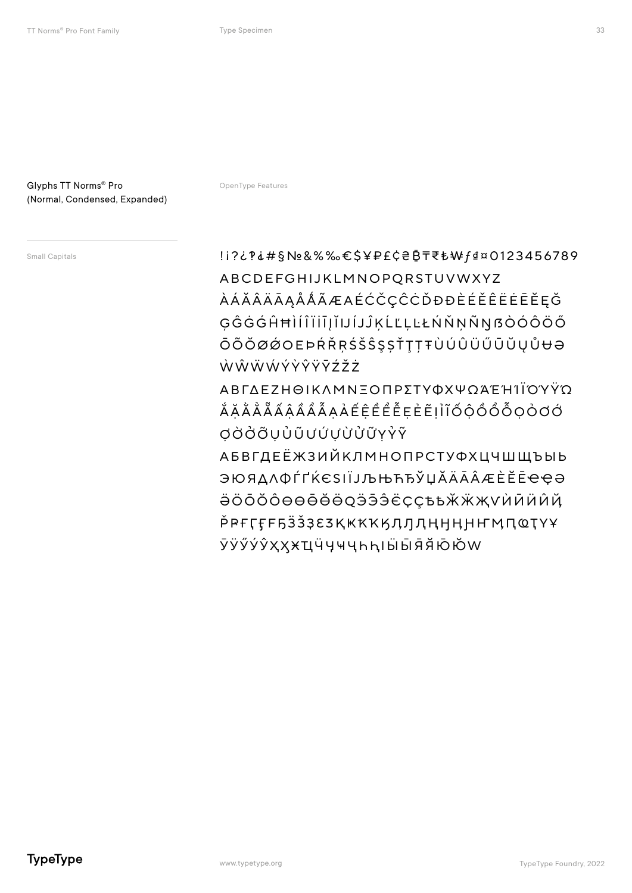OpenType Features

Small Capitals

!i?¿?i#§Nº&%%€\$¥₽£¢₴₿₸₹₺₩f₫¤0123456789 ABCDEFGHIJKLMNOPQRSTUVWXYZ *ÀÁĂÂÄĀĄÅÅÃÆAÉĆČÇĈĊĎĐĐÈÉĚÊËĖĒĒĘĞ* ĢĜĠĠĤĦÌÍĨĬĨĬĬIJĺJĴĶĹĽĻĿŁŃŇŅÑŊßÒÓÔÖŐ ŌÕŎØØOEÞŔŘŖŚŠŜŞŠŤŢŢŦÙÚÛÜŰŪŬŲŮ<del>U</del>Ə ŴŴŴŴÝŶŶŸŸŹŽ

**ΑΒΓΛΕΖΗΘΙΚΛΜΝΞΟΠΡΣΤΥΦΧΨΟΆΈΗΙΪΟΎΫ́Ο** ĂĂĂĂĂĂAAAĂĂĂAAEEEEEEEEIIIÓQÔÔÔQOOO **OÒÒÕUÙŨƯỨƯỪŮŨYŶŶ** 

**АБВГДЕЁЖЗИЙКЛМНОПРСТУФХЦЧШЩЪЫЬ** ЭЮЯДЛФЃҐЌЄЅІЇЈЉЊЋЂЎЏ**Ӑ**ӒА҄ӔЀӖЀҼҾӘ ӚӦӦӦѺѲѲѲ҇ӪӪѺӬӬӬЀҪҪѢҌӁӜҖѴЍӢӤӤҊ Р<sup>е</sup>ғгеразалқққққдллңнңнымпотүұ ӮӰӲӲӲҲҲӾҴӴӋҸҶҺҺӀӸӸЯ҄Ӑ҃҃҉Ӧ҃҃ӦѠ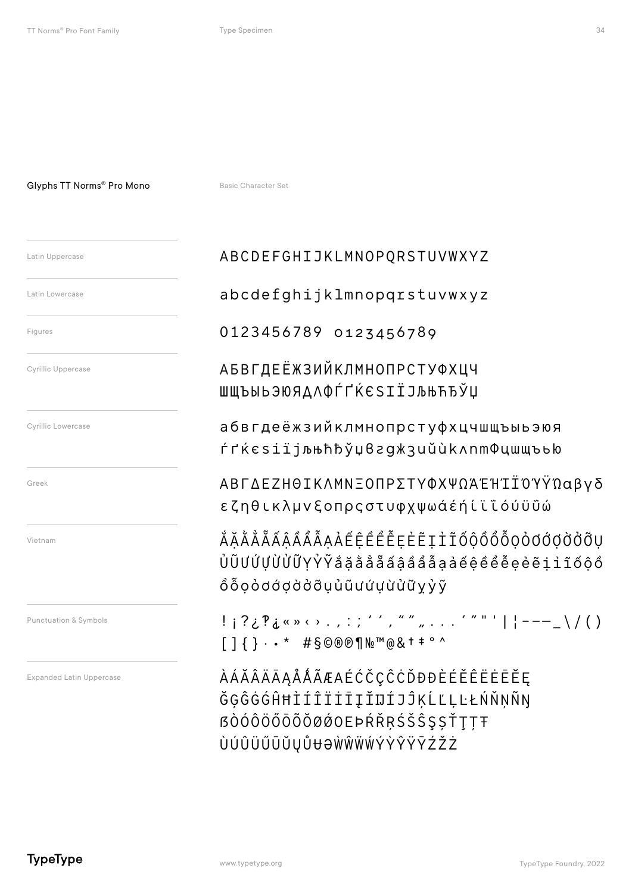#### Glyphs TT Norms<sup>®</sup> Pro Mono

Basic Character Set

| Latin Uppercase                 | ABCDEFGHIJKLMNOPQRSTUVWXYZ                                                                                                                                                                                       |
|---------------------------------|------------------------------------------------------------------------------------------------------------------------------------------------------------------------------------------------------------------|
| Latin Lowercase                 | abcdefghijklmnopqrstuvwxyz                                                                                                                                                                                       |
| Figures                         | 0123456789 0123456789                                                                                                                                                                                            |
| Cyrillic Uppercase              | АБВГДЕЁЖЗИЙКЛМНОПРСТУФХЦЧ<br>ШЩЪЫЬЭЮЯДЛФЃҐЌЄЅІЇЈЉЊЋЂЎЏ                                                                                                                                                           |
| Cyrillic Lowercase              | абвгдеёжзийклмнопрстуфхцчш<br>ѓґќєsіїјљњћђўџвгджзийùkлnm                                                                                                                                                         |
| Greek                           | ΑΒΓΔΕΖΗΘΙΚΛΜΝΞΟΠΡΣΤΥΦΧΨΩΆΈ<br>εζηθικλμνξοπρςστυφχψωάέήίϊ                                                                                                                                                         |
| Vietnam                         | <i>ĂĂĂĂÃÃÂÂÂÂĀAÀ</i> ÉÊÊÊĒEEĒĮÌĨŐộÔ<br>ÙŨƯỨƯỪỬŨYŶŶắăằẳẵẩâẩẩẫaảếêề<br>ÔÕọòơớợờởỡụủũưứựừửữỵỷỹ                                                                                                                      |
| Punctuation & Symbols           | !¡?¿?¿«» ‹› . , : ; '´', " " " ´ " "<br>$[ ] { } \cdot \cdot * \quad # \S \circledcirc \circ \P \wedge \negthinspace \mathbb{N} \circ \S \circ \negthinspace \mathbb{N} \circ \S \circ \negthinspace \mathbb{N}$ |
| <b>Expanded Latin Uppercase</b> | ÀÁĂÂÄĀĄÅÅÃÆAÉĆČÇĈĊĎĐĐÈÉĚÊË<br>ĞĢĜĠĠĤĦÌÍÎÏİĪĮĬIJÍJĴĶĹĽĻĿŁŃ                                                                                                                                                        |

### cdefghijklmnopqrstuvwxyz 23456789 0123456789

вгдеёжзийклмнопрстуфхцчшщъыьэюя *k*esiïjљњћђўџвгджзийѝkлnmФцшщъью

ΓΔΕΖΗΘΙΚΛΜΝΞΟΠΡΣΤΥΦΧΨΩΆΈΉΊΪΌΥΫ́Ωαβνδ ηθικλμνξοπρςστυφχψωάέή ίϊϊόύϋΰώ

Ă Ă Ă Ã A Â Â Â Â A A É Ê Ê Ê Ê Ê Ê E E I Î Õ Ô Ô Ô Ô Ô O O O O O O O O O O O O **UÚŲÙÙŨYŶŶắặằẳẵãậâẩẩāạàéệểểễeèẽiiíóộô** oòdádàðuùũuúuùùữyỷỹ

? ¿ P ¿ « » ‹ › . , : ; ' ' , " " " . . . ' " " ' | | ---\_ \ / ()  $\{ \} \cdot \cdot \cdot * \quad # \S \heartsuit \& @ \P \wedge \cdot \cdot \cdot * \cdots$ 

ĂÂÄĀĄÅÅÃÆAÉĆČÇĈĊĎĐĐÈÉĚÊËĖĒĔĘ ĜĠĠĤĦÌÍĨÏİĪĮĬIJÍJĴĶĹĽĻĿŁŃŇŅÑŊ *BÒÓÔÖŐŌÕŎØØOEÞŔŘRŚŠŜŞȘŤŢŢŦ* ÙÚÛÜŰŪŬŲŮ baŴŴŴŴÝŶŶŸŶŹŽŻ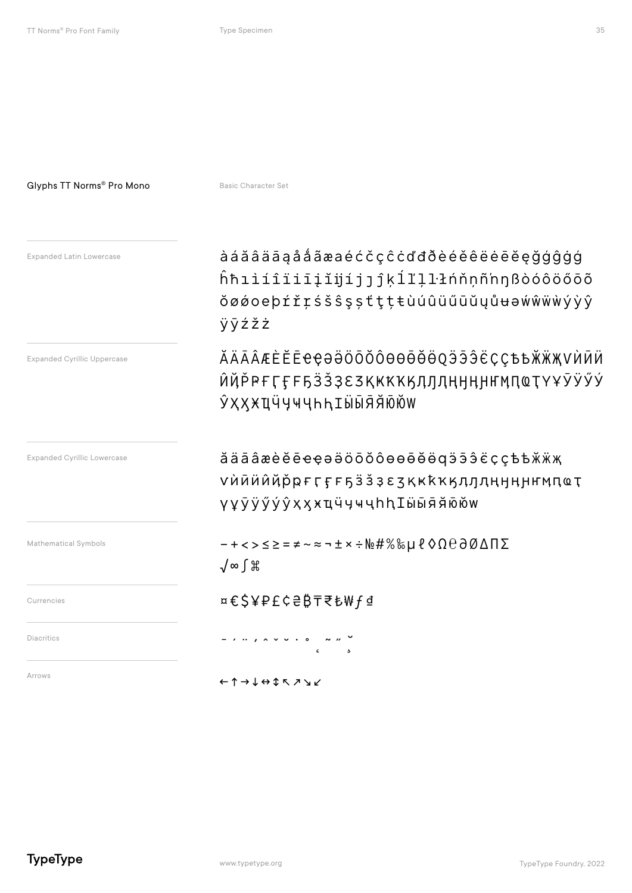#### Glyphs TT Norms® Pro Mono

Basic Character Set

| <b>Expanded Latin Lowercase</b>    | àáăâäāąååãæaéćčçĉċďđðèéěêëėēĕęğģĝġģ<br>ĥħıìíîïiīįĭijíjjĵķĺľļlłńňņñ'nŋßòóôöőōõ<br>ŏøǿoeþŕřŗśšŝşṣťţṭŧùúûüűūŭyůʉəẃŵẅẁýỳŷ<br>ÿÿźžż |
|------------------------------------|--------------------------------------------------------------------------------------------------------------------------------|
| <b>Expanded Cyrillic Uppercase</b> | ӐӒĀÂӔЀӖĒҼҾӘӚӦӦӦѺѲѲѲ҄ӪӪѺӬӬӬ҄ЁҪҪѢҌӁӜҖѴЍӢӤ<br>ЍҊР҆ҎҒӶӺ <b>₣ҔӞѮҘ</b> ᢄӠҚҜҞҠӃӅӅӅӉӉӉҤӍПҨҬҮҰӮӰӲӲ<br>ӮҲҲӾҴӴӋҸҶҺҺӀӸӸЯ҄Я҃Ӧ҃҈ӦѠ           |
| <b>Expanded Cyrillic Lowercase</b> | ăäāâæèĕēeęəӛöōŏôөөēĕӫqӭӭэ̂ёҫҫѣѣӂӝҗ<br>Ѵѝӣӥӥ҆ҋр҅ҏӻӷӻӻҕӟӟҙєӡқҝҟҡӄӆӆӆӊӈӊӈҥӎпҩҭ<br>үұўўўу̂хҳӿҵӵӌҹҷһһӀӹӹя҄я҆ӣӧѡ                     |
| Mathematical Symbols               | ゠+<>≤≥=≠~≈¬±×÷№#%‰µℓ◊Ω℮∂ØΔΠΣ<br>√∞∫∦                                                                                           |
| Currencies                         | ¤€\$¥₽£¢₴₿₸₹₺₩ƒ₫                                                                                                               |
| <b>Diacritics</b>                  |                                                                                                                                |
| Arrows                             | ←↑→↓⇔\$↖↗↘↙                                                                                                                    |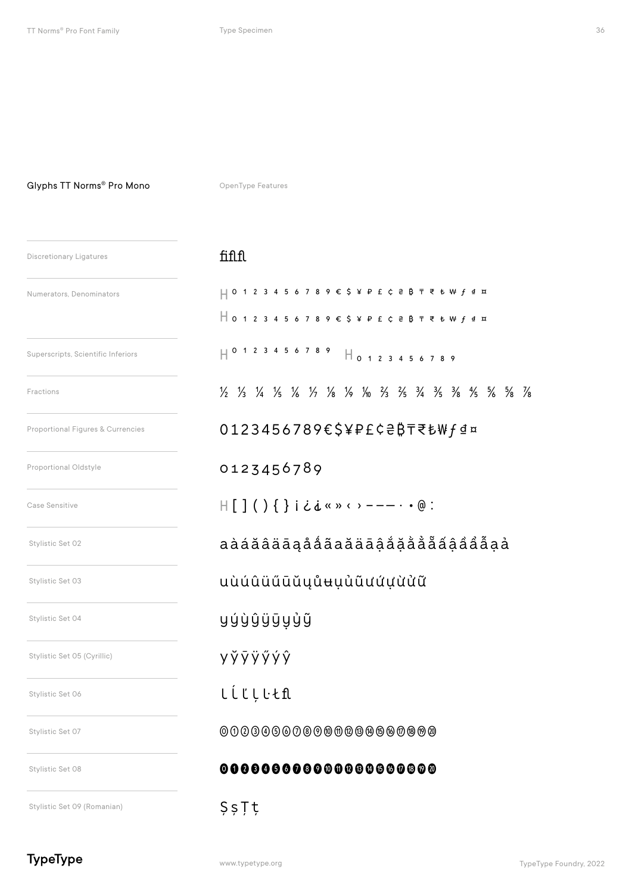#### Glyphs TT Norms® Pro Mono

OpenType Features

| <b>Discretionary Ligatures</b>     | fiflfl                                                                                                                                                                                              |
|------------------------------------|-----------------------------------------------------------------------------------------------------------------------------------------------------------------------------------------------------|
| Numerators, Denominators           | $\begin{array}{c} \square$ 0 1 2 3 4 5 6 7 8 9 € \$ ¥ P £ ¢ $\in$ $\upbeta$ $\bar{\tau}$                                                                                                            |
|                                    | $\begin{array}{c} \square$ 0 1 2 3 4 5 6 7 8 9 $\epsilon$ \$ $\angle$ P $\epsilon$ c a B $\overline{\tau}$                                                                                          |
| Superscripts, Scientific Inferiors | $H_{0123456}$                                                                                                                                                                                       |
| Fractions                          | $\frac{1}{2}$ $\frac{1}{3}$ $\frac{1}{4}$ $\frac{1}{5}$ $\frac{1}{6}$ $\frac{1}{2}$ $\frac{1}{2}$ $\frac{1}{8}$ $\frac{1}{8}$ $\frac{1}{9}$ $\frac{1}{8}$ $\frac{1}{2}$ $\frac{1}{3}$ $\frac{1}{4}$ |
| Proportional Figures & Currencies  | 0123456789€\$¥P£¢₴₿₸₹                                                                                                                                                                               |
| Proportional Oldstyle              | 0123456789                                                                                                                                                                                          |
| Case Sensitive                     | H [ ] ( ) { } i ¿ ¿ « » ‹ › - - - · • @                                                                                                                                                             |
| Stylistic Set 02                   | aàáăâäāąååãaăäāậắặằẳ                                                                                                                                                                                |
| Stylistic Set 03                   | uùúûüűūŭyůʉụủũưứựừửũ                                                                                                                                                                                |
| Stylistic Set 04                   | yýỳŷÿÿyỷỹ                                                                                                                                                                                           |
| Stylistic Set 05 (Cyrillic)        | yўÿÿӳýŷ                                                                                                                                                                                             |
| Stylistic Set 06                   | ししじししとfl                                                                                                                                                                                            |
| Stylistic Set 07                   | 00000000000000000000                                                                                                                                                                                |
| Stylistic Set 08                   |                                                                                                                                                                                                     |
| Stylistic Set 09 (Romanian)        | ŞşȚț                                                                                                                                                                                                |

#### $f: A \cap B$

| $\begin{array}{c} \square$ 0 1 2 3 4 5 6 7 8 9 € \$ ¥ P £ C ₴ ₿ ₸ ₹ ₺ ₩ ƒ ₫ ¤                                                   |
|---------------------------------------------------------------------------------------------------------------------------------|
| $\begin{array}{c} \square$ 0 1 2 3 4 5 6 7 8 9 € \$ ¥ P £ ¢ ₴ ₿ ₸ ₹ ₺ ₩ ƒ ₫ ¤                                                   |
| $\begin{array}{c ccccccccc}\n  & 0 & 1 & 2 & 3 & 4 & 5 & 6 & 7 & 8 & 9 \\ & 0 & 1 & 2 & 3 & 4 & 5 & 6 & 7 & 8 & 9\n\end{array}$ |
| 1/2 1/3 1/4 1/5 1/6 1/7 1/8 1/9 1/0 1/3 1/5 3/4 3/5 3/8 1/5 5/8 5/8 7/8                                                         |
| 0123456789€\$¥₽£¢₴₿₸₹₺₩ <i>f</i> ₫¤                                                                                             |
| 0123456789                                                                                                                      |
| $H[\ ]$ ( ) { } i ¿ i « » < > - - - · • @ :                                                                                     |
| aàáăâäāąååãaăäāậåặằẳẵẫẩậẩẩẫaả                                                                                                   |
| uùúûüűūŭyůʉụủũưứựừửữ                                                                                                            |
| yýỳŷÿÿyỳỹ                                                                                                                       |
| <b>y</b> y y y y y y                                                                                                            |
| <b>LLLLLtfl</b>                                                                                                                 |
| 0000000000000000000000                                                                                                          |
| 000000000000000000000                                                                                                           |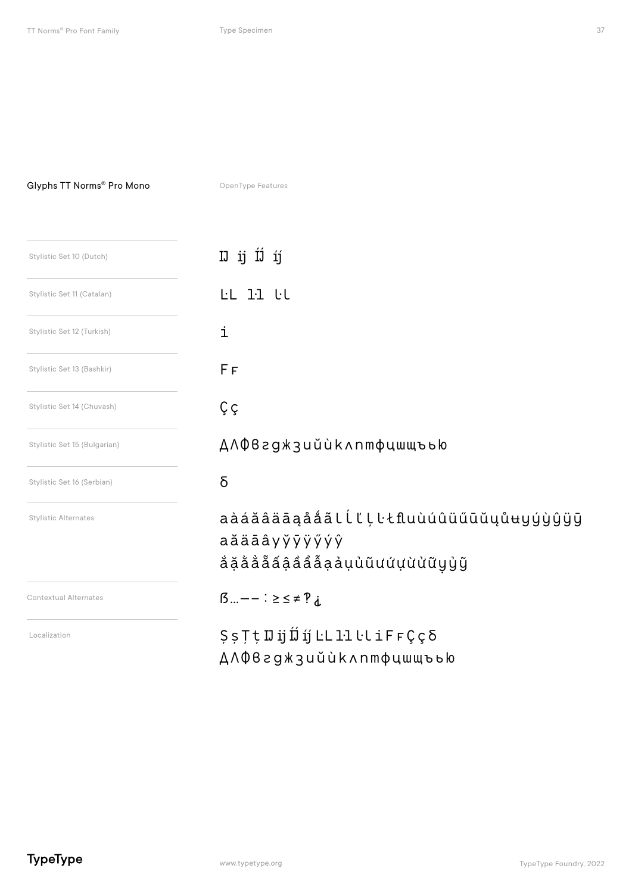#### Glyphs TT Norms® Pro Mono

OpenType Features

| Stylistic Set 10 (Dutch)     | IJ íj<br>IJ ij                                                                   |
|------------------------------|----------------------------------------------------------------------------------|
| Stylistic Set 11 (Catalan)   | LL 11 tl                                                                         |
| Stylistic Set 12 (Turkish)   | i                                                                                |
| Stylistic Set 13 (Bashkir)   | FF                                                                               |
| Stylistic Set 14 (Chuvash)   | Çç                                                                               |
| Stylistic Set 15 (Bulgarian) | ДЛФвгджзийùклптфцшщъью                                                           |
| Stylistic Set 16 (Serbian)   | δ                                                                                |
| <b>Stylistic Alternates</b>  | aàáăâäāąååãlĺľļŀłfluùúûüűūŭųůʉyýỳŷÿy<br>aăäāâyўÿÿýýŷ<br>ắặằẳẵãậẩẩẫạảụὐũưứựừửữyỷỹ |
| <b>Contextual Alternates</b> | $\beta$ $- - \frac{1}{2} \geq \frac{1}{2} \neq \frac{1}{2}$                      |
| Localization                 | ДЛФвгджзийùклптфцшщъью                                                           |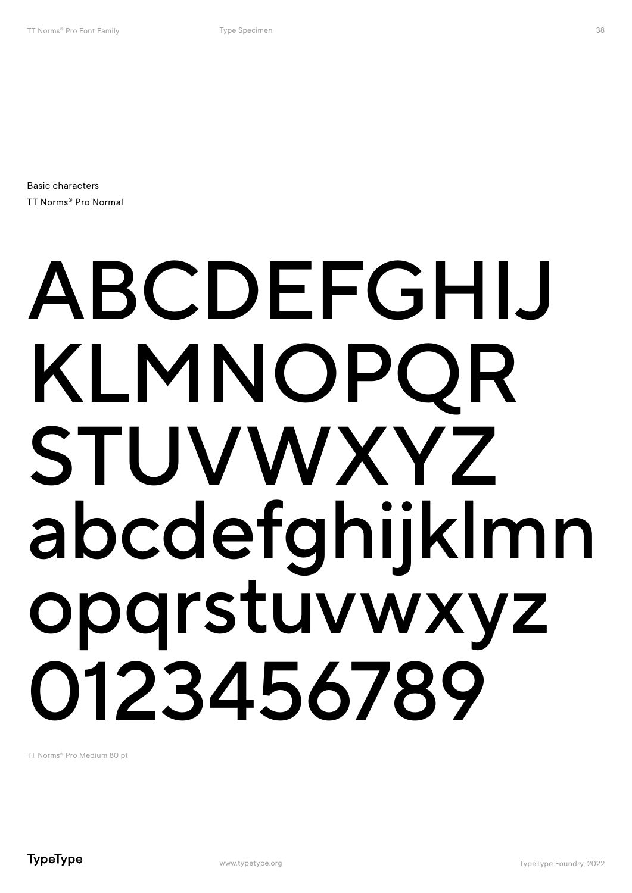Basic characters TT Norms® Pro Normal

## ABCDEFGHIJ KLMNOPQR STUVWXYZ abcdefghijklmn opqrstuvwxyz 0123456789

TT Norms® Pro Medium 80 pt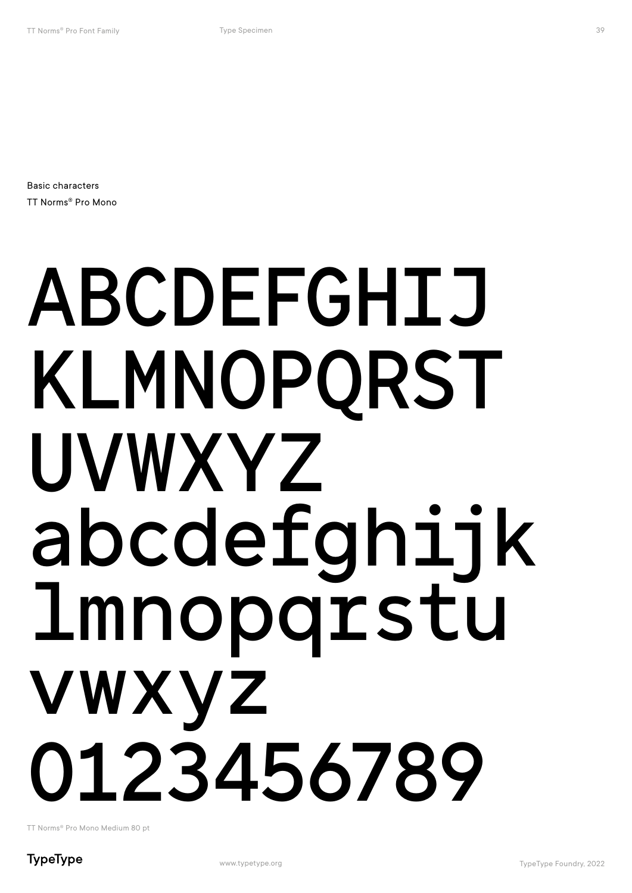Basic characters TT Norms® Pro Mono

## ABCDEFGHIJ KLMNOPQRST UVWXYZ abcdefghijk lmnopqrstu vwxyz 0123456789

TT Norms® Pro Mono Medium 80 pt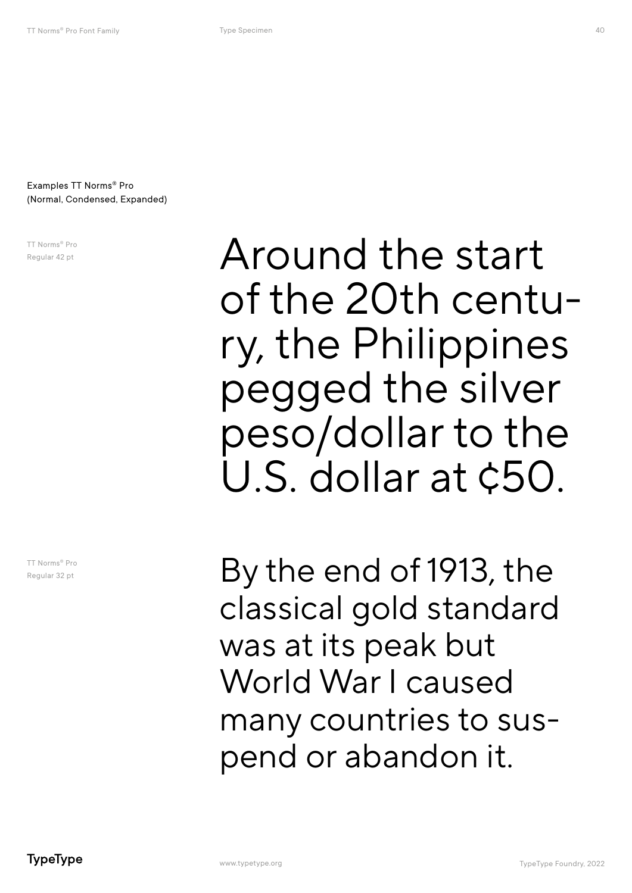Examples TT Norms® Pro (Normal, Condensed, Expanded)

TT Norms® Pro Regular 42 pt

TT Norms® Pro Regular 32 pt

Around the start of the 20th centu- ry, the Philippines pegged the silver peso/dollar to the U.S. dollar at ¢50.

By the end of 1913, the classical gold standard was at its peak but World War I caused many countries to suspend or abandon it.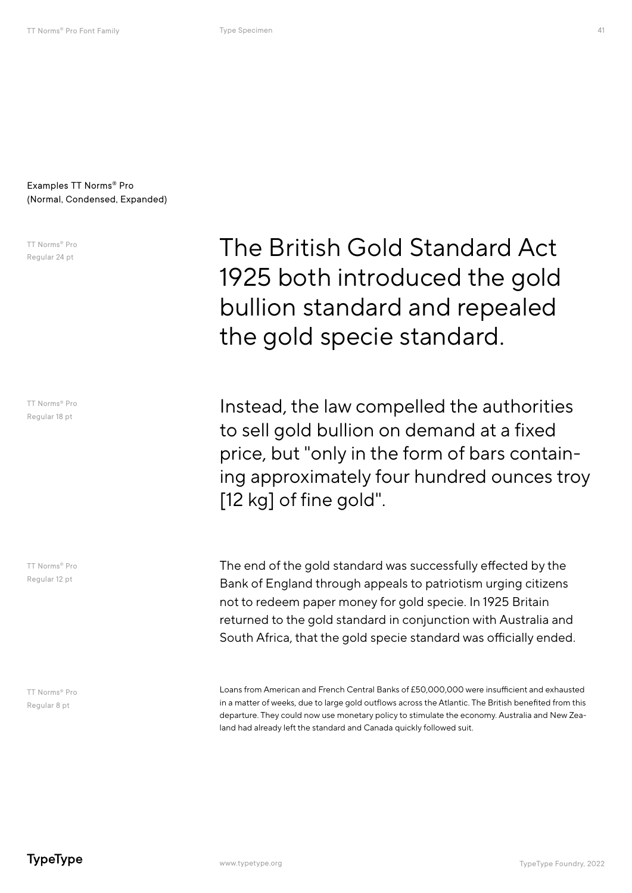#### Examples TT Norms® Pro (Normal, Condensed, Expanded)

TT Norms® Pro Regular 24 pt

TT Norms® Pro Regular 18 pt

TT Norms® Pro Regular 12 pt

TT Norms® Pro Regular 8 pt

The British Gold Standard Act 1925 both introduced the gold bullion standard and repealed the gold specie standard.

Instead, the law compelled the authorities to sell gold bullion on demand at a fixed price, but "only in the form of bars containing approximately four hundred ounces troy [12 kg] of fine gold".

The end of the gold standard was successfully effected by the Bank of England through appeals to patriotism urging citizens not to redeem paper money for gold specie. In 1925 Britain returned to the gold standard in conjunction with Australia and South Africa, that the gold specie standard was officially ended.

Loans from American and French Central Banks of £50,000,000 were insufficient and exhausted in a matter of weeks, due to large gold outflows across the Atlantic. The British benefited from this departure. They could now use monetary policy to stimulate the economy. Australia and New Zealand had already left the standard and Canada quickly followed suit.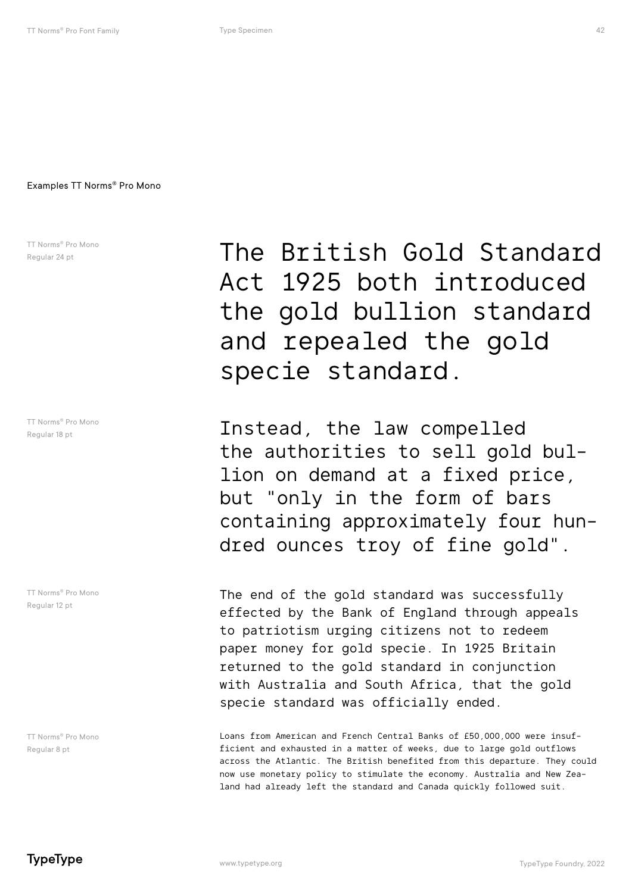TT Norms® Pro Mono Regular 24 pt

TT Norms® Pro Mono Regular 18 pt

TT Norms® Pro Mono Regular 12 pt

TT Norms® Pro Mono Regular 8 pt

The British Gold Standard Act 1925 both introduced the gold bullion standard and repealed the gold specie standard.

Instead, the law compelled the authorities to sell gold bullion on demand at a fixed price, but "only in the form of bars containing approximately four hundred ounces troy of fine gold".

The end of the gold standard was successfully effected by the Bank of England through appeals to patriotism urging citizens not to redeem paper money for gold specie. In 1925 Britain returned to the gold standard in conjunction with Australia and South Africa, that the gold specie standard was officially ended.

Loans from American and French Central Banks of £50,000,000 were insufficient and exhausted in a matter of weeks, due to large gold outflows across the Atlantic. The British benefited from this departure. They could now use monetary policy to stimulate the economy. Australia and New Zealand had already left the standard and Canada quickly followed suit.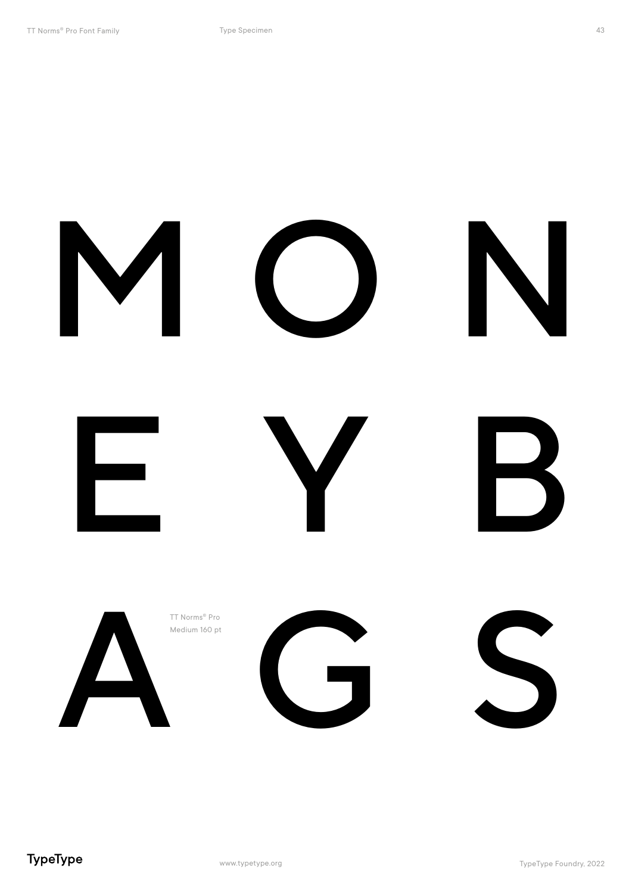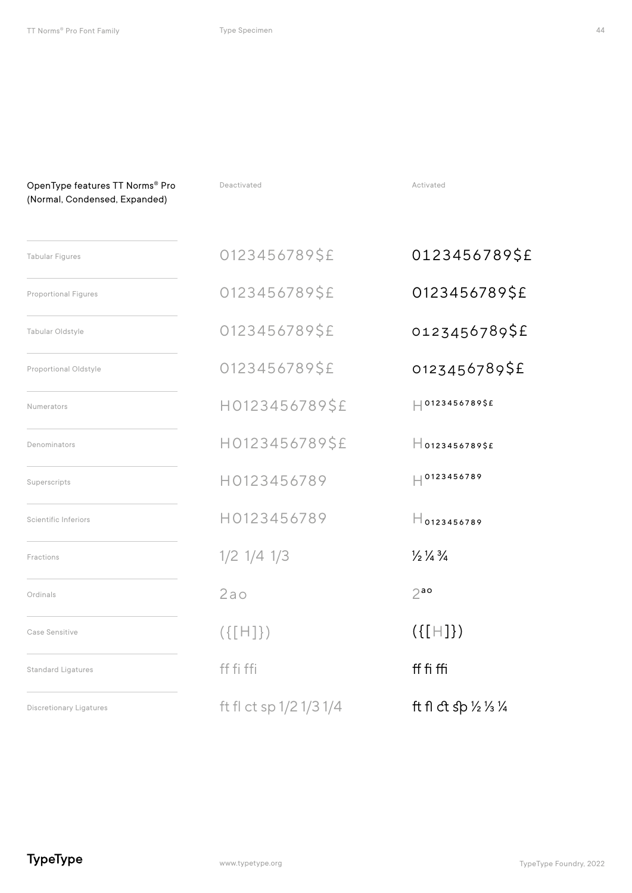OpenType features TT Norms<sup>®</sup> Pro **Beactivated Professional Profession Activated** Activated

| (Normal, Condensed, Expanded)  |                         |                                                        |
|--------------------------------|-------------------------|--------------------------------------------------------|
| <b>Tabular Figures</b>         | 0123456789\$£           | 0123456789\$£                                          |
| <b>Proportional Figures</b>    | 0123456789\$£           | 0123456789\$£                                          |
| Tabular Oldstyle               | 0123456789\$£           | 0123456789\$£                                          |
| Proportional Oldstyle          | 0123456789\$£           | 0123456789\$£                                          |
| Numerators                     | H0123456789\$£          | $ $ 0123456789\$£                                      |
| Denominators                   | H0123456789\$£          | $H_{01234567895E}$                                     |
| Superscripts                   | H0123456789             | $  $ 0123456789                                        |
| Scientific Inferiors           | H0123456789             | $H_{0123456789}$                                       |
| Fractions                      | $1/2$ $1/4$ $1/3$       | $\frac{1}{2}$ $\frac{1}{4}$ $\frac{3}{4}$              |
| Ordinals                       | 2a <sub>o</sub>         | $2^{a}$                                                |
| Case Sensitive                 | $(\{[H]\})$             | $({[H]}$                                               |
| <b>Standard Ligatures</b>      | ff fi ffi               | ff fi ffi                                              |
| <b>Discretionary Ligatures</b> | ft fl ct sp 1/2 1/3 1/4 | ft fl ct sp $\frac{1}{2}$ / <sub>3</sub> $\frac{1}{4}$ |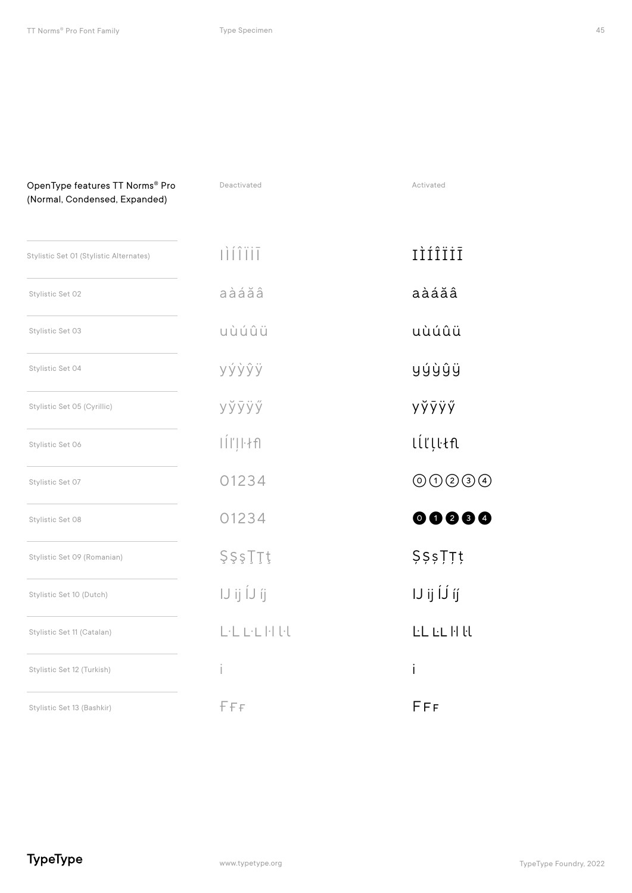| OpenType features TT Norms® Pro<br>(Normal, Condensed, Expanded) | Deactivated   | Activated                                |
|------------------------------------------------------------------|---------------|------------------------------------------|
| Stylistic Set 01 (Stylistic Alternates)                          | <b>DITIT</b>  | IÌÍÎÏİĪ                                  |
| Stylistic Set 02                                                 | aàáăâ         | aàáăâ                                    |
| Stylistic Set 03                                                 | uùúûü         | uùúûü                                    |
| Stylistic Set 04                                                 | yýỳŷÿ         | yýỳŷÿ                                    |
| Stylistic Set 05 (Cyrillic)                                      | уўўўў         | yўÿÿӳ                                    |
| Stylistic Set 06                                                 | $\frac{1}{2}$ | lĺľļŀłfl                                 |
| Stylistic Set 07                                                 | 01234         | $\circledcirc \circledcirc \circledcirc$ |
| Stylistic Set 08                                                 | 01234         | 00000                                    |
| Stylistic Set 09 (Romanian)                                      | ŞşşŢŢţ        | <b>ŞŞşȚȚț</b>                            |
| Stylistic Set 10 (Dutch)                                         | IJijĺJíj      | IJ ij ÍJ́ íj́                            |
| Stylistic Set 11 (Catalan)                                       | LELEHEL       | <b>LL</b> LL H H                         |
| Stylistic Set 12 (Turkish)                                       | İ             | i                                        |
| Stylistic Set 13 (Bashkir)                                       | FFF           | FFF                                      |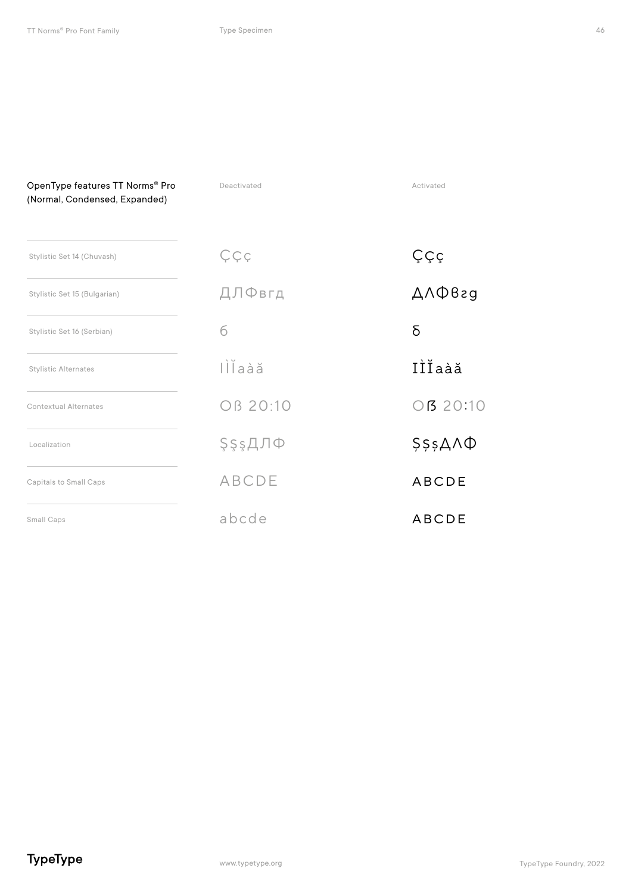| OpenType features TT Norms® Pro<br>(Normal, Condensed, Expanded) | Deactivated   | Activated            |
|------------------------------------------------------------------|---------------|----------------------|
| Stylistic Set 14 (Chuvash)                                       | Ççç           | Ççç                  |
| Stylistic Set 15 (Bulgarian)                                     | ДЛФвгд        | $A \wedge \Phi B$ ag |
| Stylistic Set 16 (Serbian)                                       | б             | δ                    |
| <b>Stylistic Alternates</b>                                      | lllaàă        | IÌĬaàă               |
| <b>Contextual Alternates</b>                                     | OB 20:10      | OB 20:10             |
| Localization                                                     | <b>ŞşşДЛФ</b> | $$555AA\Phi$         |
| Capitals to Small Caps                                           | <b>ABCDE</b>  | <b>ABCDE</b>         |
| Small Caps                                                       | abcde         | <b>ABCDE</b>         |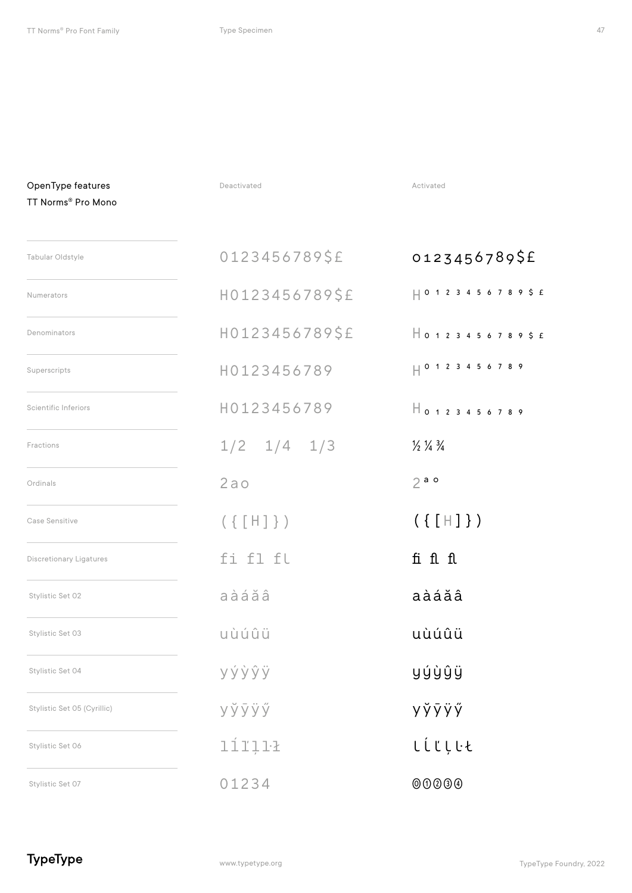TT Norms® Pro Mono

OpenType features **Deactivated** Deactivated **Deactivated** Activated

| Tabular Oldstyle               | 0123456789\$£     | 0123456789\$£                             |
|--------------------------------|-------------------|-------------------------------------------|
| Numerators                     | H0123456789\$£    | $ $   0 1 2 3 4 5 6 7 8 9 \$ £            |
| Denominators                   | H0123456789\$£    |                                           |
| Superscripts                   | H0123456789       |                                           |
| <b>Scientific Inferiors</b>    | H0123456789       | $H_{0123456789}$                          |
| Fractions                      | $1/2$ $1/4$ $1/3$ | $\frac{1}{2}$ $\frac{1}{4}$ $\frac{3}{4}$ |
| Ordinals                       | 2a <sub>o</sub>   | 2a                                        |
| Case Sensitive                 | $(\{ [H] \})$     | $(\{ [H] \})$                             |
| <b>Discretionary Ligatures</b> | fi fl fl          | fi fl fl                                  |
| Stylistic Set 02               | aàáăâ             | aàáăâ                                     |

uùúûü uùúûü

yýỳŷÿ yýỳŷÿ

уўўў **уўруў** Уў**ўўў** 

líľļŀł líľțŀt

01234 000000

TypeType

Stylistic Set 03

Stylistic Set 04

Stylistic Set 06

Stylistic Set 07

Stylistic Set 05 (Cyrillic)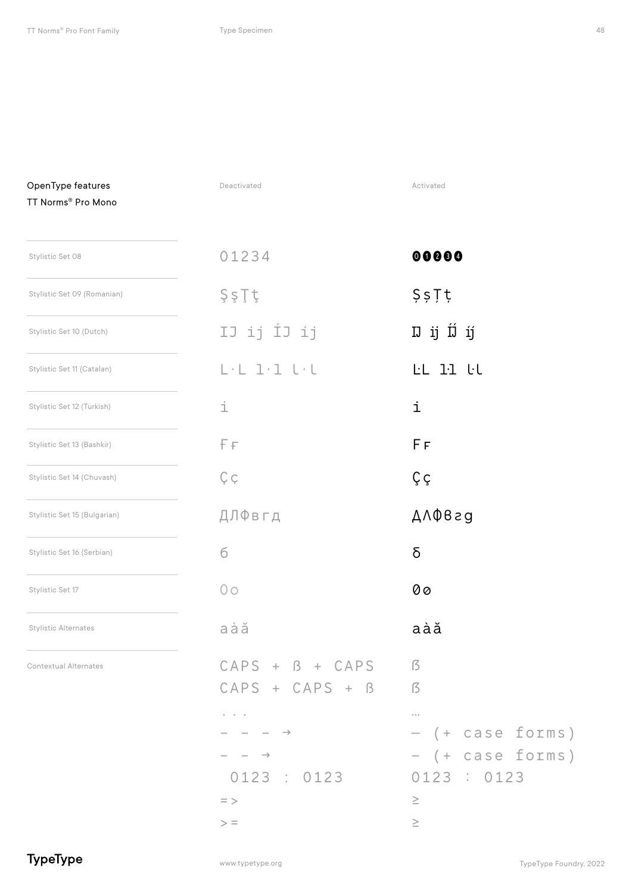| OpenType features<br>TT Norms® Pro Mono | Deactivated                                                                                                                 | Activated                                                                                                                                           |
|-----------------------------------------|-----------------------------------------------------------------------------------------------------------------------------|-----------------------------------------------------------------------------------------------------------------------------------------------------|
| Stylistic Set 08                        | 01234                                                                                                                       | 00000                                                                                                                                               |
| Stylistic Set 09 (Romanian)             | ŞşŢţ                                                                                                                        | 557t                                                                                                                                                |
| Stylistic Set 10 (Dutch)                | IJ ij ÍJ íj                                                                                                                 | IJ ij ÍJ íj                                                                                                                                         |
| Stylistic Set 11 (Catalan)              | $L \cdot L$ $1 \cdot 1$ $L \cdot L$                                                                                         | LL 11 UL                                                                                                                                            |
| Stylistic Set 12 (Turkish)              | i                                                                                                                           | i                                                                                                                                                   |
| Stylistic Set 13 (Bashkir)              | ΕF                                                                                                                          | F F                                                                                                                                                 |
| Stylistic Set 14 (Chuvash)              | Çç                                                                                                                          | Çç                                                                                                                                                  |
| Stylistic Set 15 (Bulgarian)            | ДЛФвгд                                                                                                                      | $A \wedge \Phi B$ ag                                                                                                                                |
| Stylistic Set 16 (Serbian)              | б                                                                                                                           | δ                                                                                                                                                   |
| Stylistic Set 17                        | 0 <sub>O</sub>                                                                                                              | 00                                                                                                                                                  |
| <b>Stylistic Alternates</b>             | aàă                                                                                                                         | aàă                                                                                                                                                 |
| <b>Contextual Alternates</b>            | $CAPS + B + CAPS$<br>$CAPS + CAPS + B$<br>$  \rightarrow$<br>$\overline{\phantom{a}}$ $\rightarrow$<br>0123 : 0123<br>$=$ > | <sup>5</sup><br>$\sqrt{5}$<br>$\begin{smallmatrix}&&&&&&\\&0&0&0&0\end{smallmatrix}$<br>- (+ case forms<br>- (+ case forms<br>0123 : 0123<br>$\geq$ |
|                                         | $\geq$ =                                                                                                                    | $\geq$                                                                                                                                              |

#### TypeType

www.typetype.org

 $\binom{1}{2}$  $\left( \right)$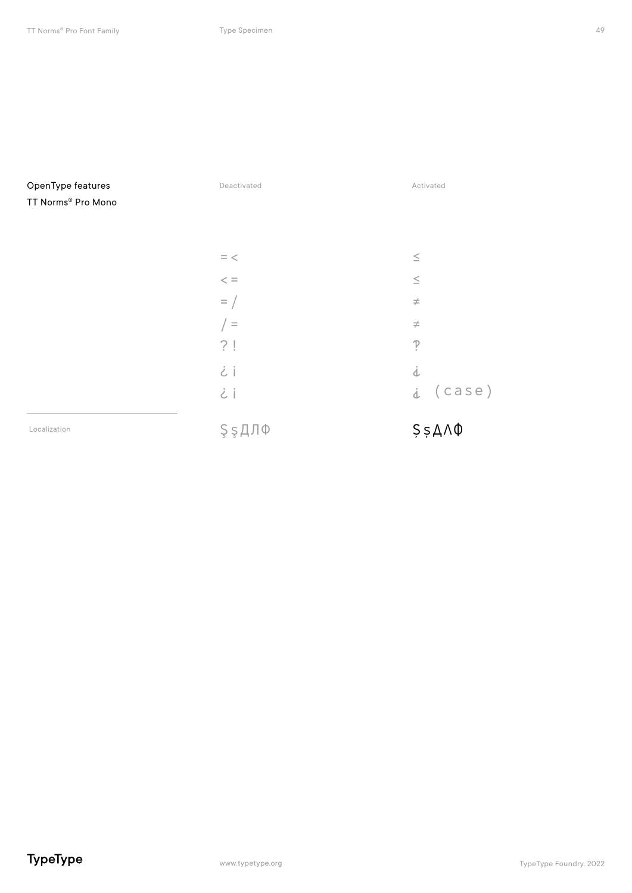| OpenType features  | Deactivated | Activated                    |
|--------------------|-------------|------------------------------|
| TT Norms® Pro Mono |             |                              |
|                    |             |                              |
|                    |             |                              |
|                    | $\, =$ $<$  | $\leq$                       |
|                    | $<\,=\,$    | $\leq$                       |
|                    | $=$ /       | $\neq$                       |
|                    | $=$         | $\neq$                       |
|                    | ?!          | $\tilde{P}$                  |
|                    | i           | j                            |
|                    | i           | $i$ (case)                   |
| Localization       | ŞşДЛФ       | $$5,8 \triangle \wedge \Phi$ |
|                    |             |                              |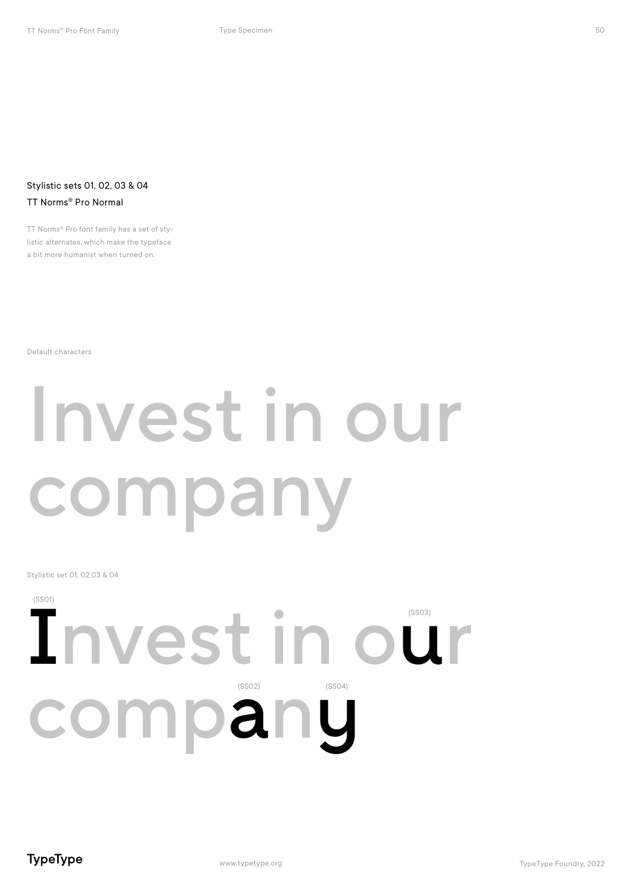#### Stylistic sets 01, 02, 03 & 04 TT Norms® Pro Normal

TT Norms® Pro font family has a set of stylistic alternates, which make the typeface a bit more humanist when turned on.

Default characters

## Invest in our company

Stylistic set 01, 02,03 & 04

### Invest in our company (SS01) (SS02) (SS04)

50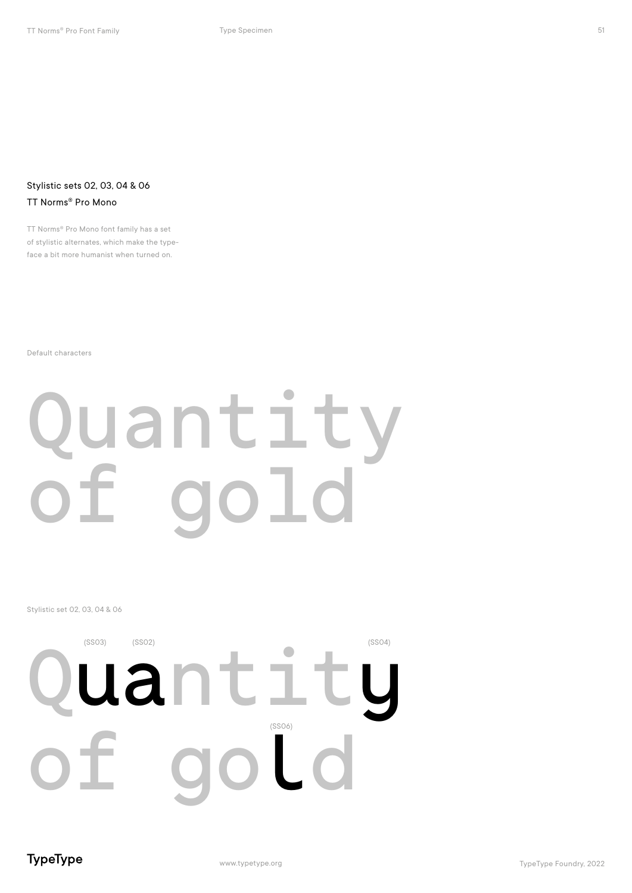#### Stylistic sets 02, 03, 04 & 06 TT Norms® Pro Mono

TT Norms® Pro Mono font family has a set of stylistic alternates, which make the typeface a bit more humanist when turned on.

Default characters

## Quantity<br>of dold gold

#### Stylistic set 02, 03, 04 & 06



TypeType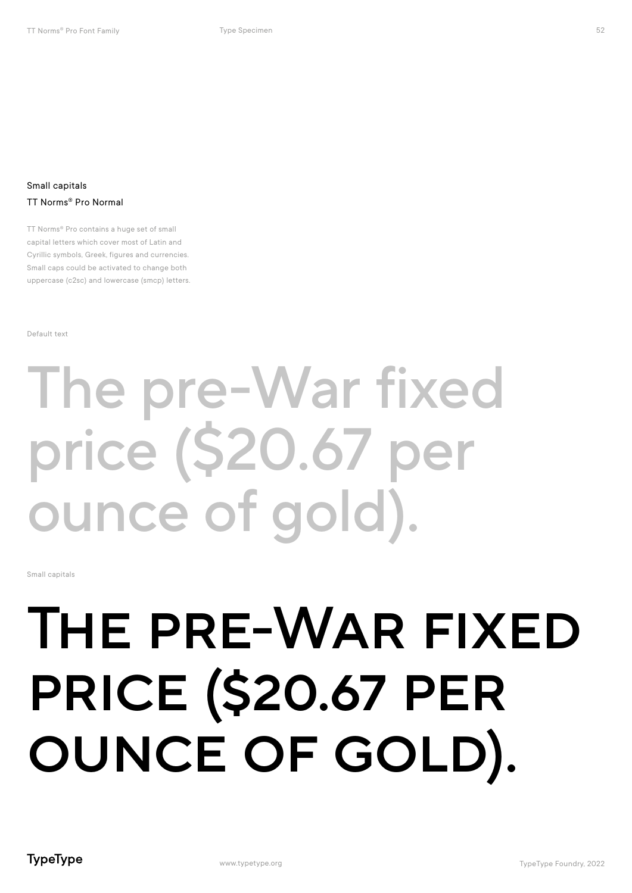#### Small capitals TT Norms® Pro Normal

TT Norms® Pro contains a huge set of small capital letters which cover most of Latin and Cyrillic symbols, Greek, figures and currencies. Small caps could be activated to change both uppercase (c2sc) and lowercase (smcp) letters.

Default text

## The pre-War fixed price (\$20.67 per ounce of gold).

Small capitals

## The pre-War fixed price (\$20.67 per ounce of gold).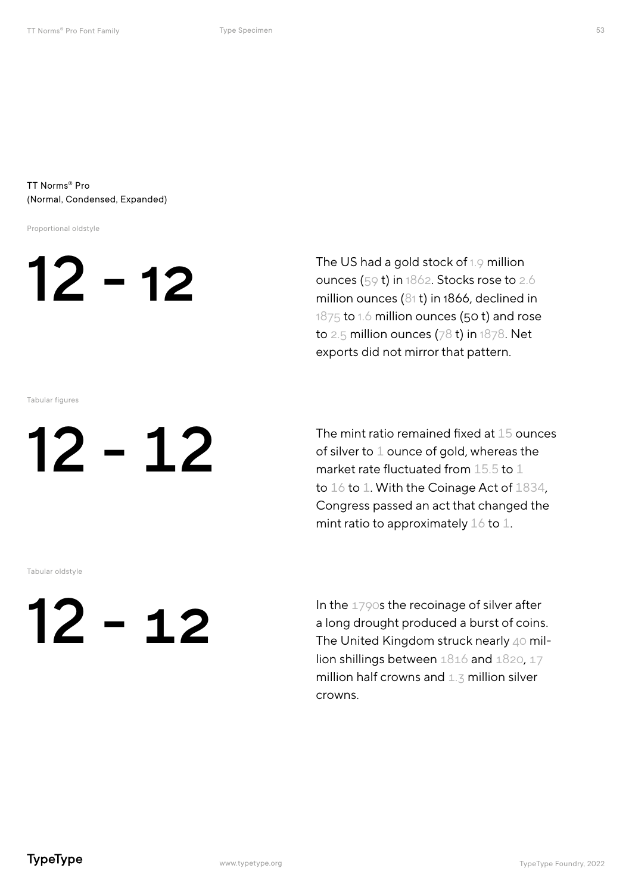#### TT Norms® Pro (Normal, Condensed, Expanded)

Proportional oldstyle



The US had a gold stock of 1.9 million ounces (59 t) in 1862. Stocks rose to 2.6 million ounces (81 t) in 1866, declined in 1875 to 1.6 million ounces (50 t) and rose to 2.5 million ounces (78 t) in 1878. Net exports did not mirror that pattern.

Tabular figures

12 - 12

The mint ratio remained fixed at 15 ounces of silver to 1 ounce of gold, whereas the market rate fluctuated from 15.5 to 1 to 16 to 1. With the Coinage Act of 1834, Congress passed an act that changed the mint ratio to approximately  $16$  to  $1$ .

Tabular oldstyle

## 12 - 12

In the 1790s the recoinage of silver after a long drought produced a burst of coins. The United Kingdom struck nearly 40 million shillings between 1816 and 1820, 17 million half crowns and  $1.3$  million silver crowns.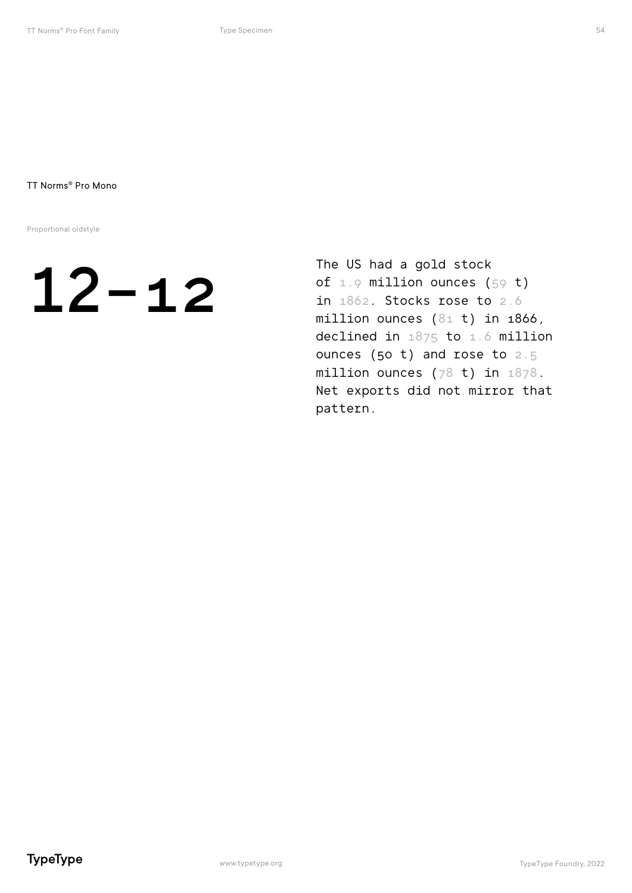Proportional oldstyle

## $12 - 12$

The US had a gold stock of  $1.9$  million ounces (59 t) in 1862. Stocks rose to 2.6 million ounces (81 t) in 1866, declined in 1875 to 1.6 million ounces (50 t) and rose to 2.5 million ounces (78 t) in 1878. Net exports did not mirror that pattern.